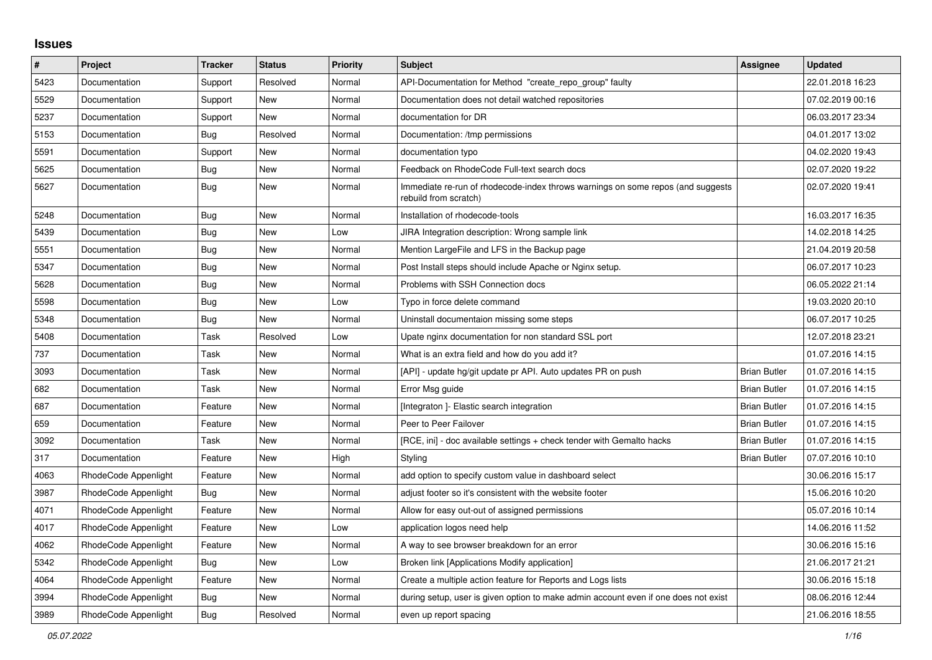## **Issues**

| $\pmb{\#}$ | Project              | <b>Tracker</b> | <b>Status</b> | <b>Priority</b> | <b>Subject</b>                                                                                           | Assignee            | <b>Updated</b>   |
|------------|----------------------|----------------|---------------|-----------------|----------------------------------------------------------------------------------------------------------|---------------------|------------------|
| 5423       | Documentation        | Support        | Resolved      | Normal          | API-Documentation for Method "create repo group" faulty                                                  |                     | 22.01.2018 16:23 |
| 5529       | Documentation        | Support        | New           | Normal          | Documentation does not detail watched repositories                                                       |                     | 07.02.2019 00:16 |
| 5237       | Documentation        | Support        | New           | Normal          | documentation for DR                                                                                     |                     | 06.03.2017 23:34 |
| 5153       | Documentation        | Bug            | Resolved      | Normal          | Documentation: /tmp permissions                                                                          |                     | 04.01.2017 13:02 |
| 5591       | Documentation        | Support        | New           | Normal          | documentation typo                                                                                       |                     | 04.02.2020 19:43 |
| 5625       | Documentation        | Bug            | <b>New</b>    | Normal          | Feedback on RhodeCode Full-text search docs                                                              |                     | 02.07.2020 19:22 |
| 5627       | Documentation        | Bug            | New           | Normal          | Immediate re-run of rhodecode-index throws warnings on some repos (and suggests<br>rebuild from scratch) |                     | 02.07.2020 19:41 |
| 5248       | Documentation        | <b>Bug</b>     | New           | Normal          | Installation of rhodecode-tools                                                                          |                     | 16.03.2017 16:35 |
| 5439       | Documentation        | Bug            | New           | Low             | JIRA Integration description: Wrong sample link                                                          |                     | 14.02.2018 14:25 |
| 5551       | Documentation        | <b>Bug</b>     | New           | Normal          | Mention LargeFile and LFS in the Backup page                                                             |                     | 21.04.2019 20:58 |
| 5347       | Documentation        | <b>Bug</b>     | <b>New</b>    | Normal          | Post Install steps should include Apache or Nginx setup.                                                 |                     | 06.07.2017 10:23 |
| 5628       | Documentation        | Bug            | New           | Normal          | Problems with SSH Connection docs                                                                        |                     | 06.05.2022 21:14 |
| 5598       | Documentation        | <b>Bug</b>     | New           | Low             | Typo in force delete command                                                                             |                     | 19.03.2020 20:10 |
| 5348       | Documentation        | Bug            | New           | Normal          | Uninstall documentaion missing some steps                                                                |                     | 06.07.2017 10:25 |
| 5408       | Documentation        | Task           | Resolved      | Low             | Upate nginx documentation for non standard SSL port                                                      |                     | 12.07.2018 23:21 |
| 737        | Documentation        | Task           | <b>New</b>    | Normal          | What is an extra field and how do you add it?                                                            |                     | 01.07.2016 14:15 |
| 3093       | Documentation        | Task           | <b>New</b>    | Normal          | [API] - update hg/git update pr API. Auto updates PR on push                                             | <b>Brian Butler</b> | 01.07.2016 14:15 |
| 682        | Documentation        | Task           | New           | Normal          | Error Msg guide                                                                                          | <b>Brian Butler</b> | 01.07.2016 14:15 |
| 687        | Documentation        | Feature        | New           | Normal          | [Integraton ]- Elastic search integration                                                                | <b>Brian Butler</b> | 01.07.2016 14:15 |
| 659        | Documentation        | Feature        | <b>New</b>    | Normal          | Peer to Peer Failover                                                                                    | <b>Brian Butler</b> | 01.07.2016 14:15 |
| 3092       | Documentation        | Task           | <b>New</b>    | Normal          | [RCE, ini] - doc available settings + check tender with Gemalto hacks                                    | <b>Brian Butler</b> | 01.07.2016 14:15 |
| 317        | Documentation        | Feature        | New           | High            | Styling                                                                                                  | <b>Brian Butler</b> | 07.07.2016 10:10 |
| 4063       | RhodeCode Appenlight | Feature        | New           | Normal          | add option to specify custom value in dashboard select                                                   |                     | 30.06.2016 15:17 |
| 3987       | RhodeCode Appenlight | Bug            | New           | Normal          | adjust footer so it's consistent with the website footer                                                 |                     | 15.06.2016 10:20 |
| 4071       | RhodeCode Appenlight | Feature        | <b>New</b>    | Normal          | Allow for easy out-out of assigned permissions                                                           |                     | 05.07.2016 10:14 |
| 4017       | RhodeCode Appenlight | Feature        | <b>New</b>    | Low             | application logos need help                                                                              |                     | 14.06.2016 11:52 |
| 4062       | RhodeCode Appenlight | Feature        | New           | Normal          | A way to see browser breakdown for an error                                                              |                     | 30.06.2016 15:16 |
| 5342       | RhodeCode Appenlight | Bug            | New           | Low             | Broken link [Applications Modify application]                                                            |                     | 21.06.2017 21:21 |
| 4064       | RhodeCode Appenlight | Feature        | New           | Normal          | Create a multiple action feature for Reports and Logs lists                                              |                     | 30.06.2016 15:18 |
| 3994       | RhodeCode Appenlight | Bug            | New           | Normal          | during setup, user is given option to make admin account even if one does not exist                      |                     | 08.06.2016 12:44 |
| 3989       | RhodeCode Appenlight | <b>Bug</b>     | Resolved      | Normal          | even up report spacing                                                                                   |                     | 21.06.2016 18:55 |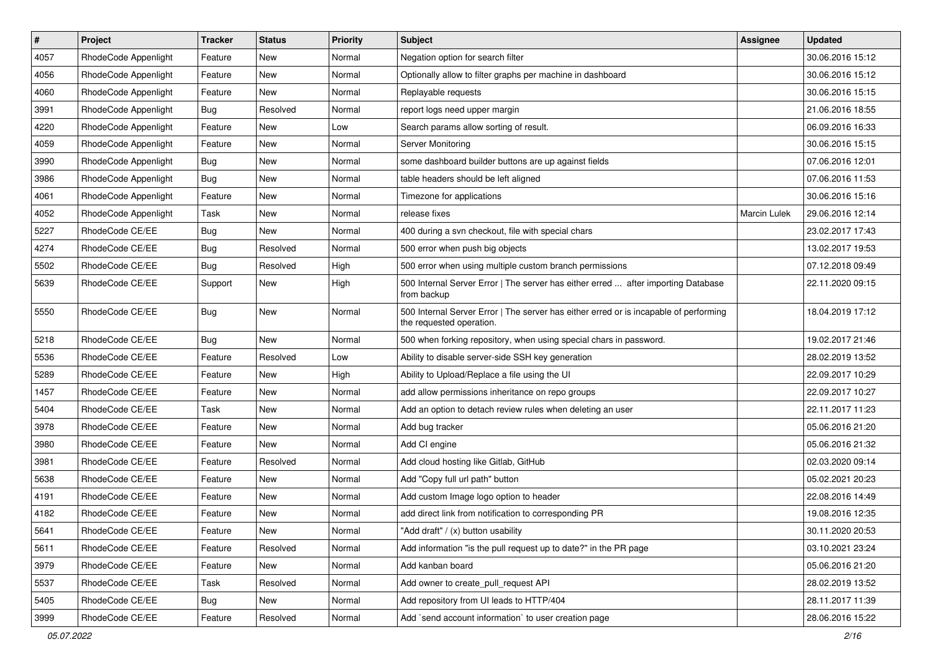| $\vert$ # | Project              | <b>Tracker</b> | <b>Status</b> | <b>Priority</b> | <b>Subject</b>                                                                                                    | <b>Assignee</b>     | <b>Updated</b>   |
|-----------|----------------------|----------------|---------------|-----------------|-------------------------------------------------------------------------------------------------------------------|---------------------|------------------|
| 4057      | RhodeCode Appenlight | Feature        | New           | Normal          | Negation option for search filter                                                                                 |                     | 30.06.2016 15:12 |
| 4056      | RhodeCode Appenlight | Feature        | New           | Normal          | Optionally allow to filter graphs per machine in dashboard                                                        |                     | 30.06.2016 15:12 |
| 4060      | RhodeCode Appenlight | Feature        | New           | Normal          | Replayable requests                                                                                               |                     | 30.06.2016 15:15 |
| 3991      | RhodeCode Appenlight | <b>Bug</b>     | Resolved      | Normal          | report logs need upper margin                                                                                     |                     | 21.06.2016 18:55 |
| 4220      | RhodeCode Appenlight | Feature        | New           | Low             | Search params allow sorting of result.                                                                            |                     | 06.09.2016 16:33 |
| 4059      | RhodeCode Appenlight | Feature        | New           | Normal          | Server Monitoring                                                                                                 |                     | 30.06.2016 15:15 |
| 3990      | RhodeCode Appenlight | Bug            | New           | Normal          | some dashboard builder buttons are up against fields                                                              |                     | 07.06.2016 12:01 |
| 3986      | RhodeCode Appenlight | Bug            | New           | Normal          | table headers should be left aligned                                                                              |                     | 07.06.2016 11:53 |
| 4061      | RhodeCode Appenlight | Feature        | New           | Normal          | Timezone for applications                                                                                         |                     | 30.06.2016 15:16 |
| 4052      | RhodeCode Appenlight | Task           | New           | Normal          | release fixes                                                                                                     | <b>Marcin Lulek</b> | 29.06.2016 12:14 |
| 5227      | RhodeCode CE/EE      | Bug            | New           | Normal          | 400 during a svn checkout, file with special chars                                                                |                     | 23.02.2017 17:43 |
| 4274      | RhodeCode CE/EE      | <b>Bug</b>     | Resolved      | Normal          | 500 error when push big objects                                                                                   |                     | 13.02.2017 19:53 |
| 5502      | RhodeCode CE/EE      | <b>Bug</b>     | Resolved      | High            | 500 error when using multiple custom branch permissions                                                           |                     | 07.12.2018 09:49 |
| 5639      | RhodeCode CE/EE      | Support        | New           | High            | 500 Internal Server Error   The server has either erred  after importing Database<br>from backup                  |                     | 22.11.2020 09:15 |
| 5550      | RhodeCode CE/EE      | Bug            | New           | Normal          | 500 Internal Server Error   The server has either erred or is incapable of performing<br>the requested operation. |                     | 18.04.2019 17:12 |
| 5218      | RhodeCode CE/EE      | <b>Bug</b>     | New           | Normal          | 500 when forking repository, when using special chars in password.                                                |                     | 19.02.2017 21:46 |
| 5536      | RhodeCode CE/EE      | Feature        | Resolved      | Low             | Ability to disable server-side SSH key generation                                                                 |                     | 28.02.2019 13:52 |
| 5289      | RhodeCode CE/EE      | Feature        | New           | High            | Ability to Upload/Replace a file using the UI                                                                     |                     | 22.09.2017 10:29 |
| 1457      | RhodeCode CE/EE      | Feature        | New           | Normal          | add allow permissions inheritance on repo groups                                                                  |                     | 22.09.2017 10:27 |
| 5404      | RhodeCode CE/EE      | Task           | New           | Normal          | Add an option to detach review rules when deleting an user                                                        |                     | 22.11.2017 11:23 |
| 3978      | RhodeCode CE/EE      | Feature        | New           | Normal          | Add bug tracker                                                                                                   |                     | 05.06.2016 21:20 |
| 3980      | RhodeCode CE/EE      | Feature        | New           | Normal          | Add CI engine                                                                                                     |                     | 05.06.2016 21:32 |
| 3981      | RhodeCode CE/EE      | Feature        | Resolved      | Normal          | Add cloud hosting like Gitlab, GitHub                                                                             |                     | 02.03.2020 09:14 |
| 5638      | RhodeCode CE/EE      | Feature        | New           | Normal          | Add "Copy full url path" button                                                                                   |                     | 05.02.2021 20:23 |
| 4191      | RhodeCode CE/EE      | Feature        | New           | Normal          | Add custom Image logo option to header                                                                            |                     | 22.08.2016 14:49 |
| 4182      | RhodeCode CE/EE      | Feature        | New           | Normal          | add direct link from notification to corresponding PR                                                             |                     | 19.08.2016 12:35 |
| 5641      | RhodeCode CE/EE      | Feature        | New           | Normal          | "Add draft" / (x) button usability                                                                                |                     | 30.11.2020 20:53 |
| 5611      | RhodeCode CE/EE      | Feature        | Resolved      | Normal          | Add information "is the pull request up to date?" in the PR page                                                  |                     | 03.10.2021 23:24 |
| 3979      | RhodeCode CE/EE      | Feature        | New           | Normal          | Add kanban board                                                                                                  |                     | 05.06.2016 21:20 |
| 5537      | RhodeCode CE/EE      | Task           | Resolved      | Normal          | Add owner to create_pull_request API                                                                              |                     | 28.02.2019 13:52 |
| 5405      | RhodeCode CE/EE      | <b>Bug</b>     | New           | Normal          | Add repository from UI leads to HTTP/404                                                                          |                     | 28.11.2017 11:39 |
| 3999      | RhodeCode CE/EE      | Feature        | Resolved      | Normal          | Add `send account information` to user creation page                                                              |                     | 28.06.2016 15:22 |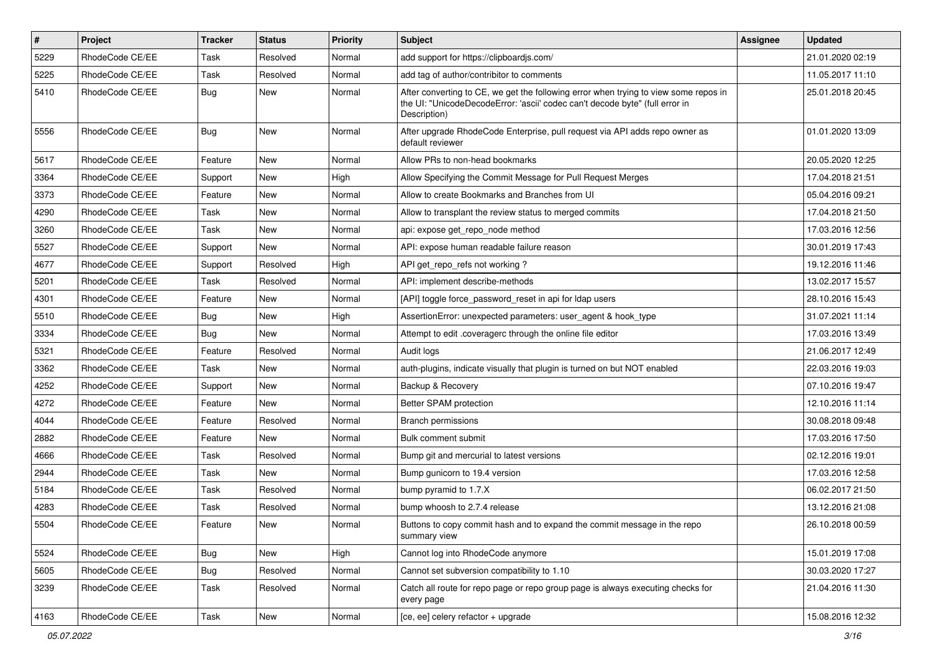| $\pmb{\#}$ | <b>Project</b>  | <b>Tracker</b> | <b>Status</b> | <b>Priority</b> | Subject                                                                                                                                                                              | Assignee | <b>Updated</b>   |
|------------|-----------------|----------------|---------------|-----------------|--------------------------------------------------------------------------------------------------------------------------------------------------------------------------------------|----------|------------------|
| 5229       | RhodeCode CE/EE | Task           | Resolved      | Normal          | add support for https://clipboardjs.com/                                                                                                                                             |          | 21.01.2020 02:19 |
| 5225       | RhodeCode CE/EE | Task           | Resolved      | Normal          | add tag of author/contribitor to comments                                                                                                                                            |          | 11.05.2017 11:10 |
| 5410       | RhodeCode CE/EE | Bug            | <b>New</b>    | Normal          | After converting to CE, we get the following error when trying to view some repos in<br>the UI: "UnicodeDecodeError: 'ascii' codec can't decode byte" (full error in<br>Description) |          | 25.01.2018 20:45 |
| 5556       | RhodeCode CE/EE | Bug            | <b>New</b>    | Normal          | After upgrade RhodeCode Enterprise, pull request via API adds repo owner as<br>default reviewer                                                                                      |          | 01.01.2020 13:09 |
| 5617       | RhodeCode CE/EE | Feature        | New           | Normal          | Allow PRs to non-head bookmarks                                                                                                                                                      |          | 20.05.2020 12:25 |
| 3364       | RhodeCode CE/EE | Support        | New           | High            | Allow Specifying the Commit Message for Pull Request Merges                                                                                                                          |          | 17.04.2018 21:51 |
| 3373       | RhodeCode CE/EE | Feature        | <b>New</b>    | Normal          | Allow to create Bookmarks and Branches from UI                                                                                                                                       |          | 05.04.2016 09:21 |
| 4290       | RhodeCode CE/EE | Task           | New           | Normal          | Allow to transplant the review status to merged commits                                                                                                                              |          | 17.04.2018 21:50 |
| 3260       | RhodeCode CE/EE | Task           | <b>New</b>    | Normal          | api: expose get_repo_node method                                                                                                                                                     |          | 17.03.2016 12:56 |
| 5527       | RhodeCode CE/EE | Support        | New           | Normal          | API: expose human readable failure reason                                                                                                                                            |          | 30.01.2019 17:43 |
| 4677       | RhodeCode CE/EE | Support        | Resolved      | High            | API get repo refs not working?                                                                                                                                                       |          | 19.12.2016 11:46 |
| 5201       | RhodeCode CE/EE | Task           | Resolved      | Normal          | API: implement describe-methods                                                                                                                                                      |          | 13.02.2017 15:57 |
| 4301       | RhodeCode CE/EE | Feature        | <b>New</b>    | Normal          | [API] toggle force password reset in api for Idap users                                                                                                                              |          | 28.10.2016 15:43 |
| 5510       | RhodeCode CE/EE | Bug            | <b>New</b>    | High            | AssertionError: unexpected parameters: user agent & hook type                                                                                                                        |          | 31.07.2021 11:14 |
| 3334       | RhodeCode CE/EE | Bug            | <b>New</b>    | Normal          | Attempt to edit .coveragerc through the online file editor                                                                                                                           |          | 17.03.2016 13:49 |
| 5321       | RhodeCode CE/EE | Feature        | Resolved      | Normal          | Audit logs                                                                                                                                                                           |          | 21.06.2017 12:49 |
| 3362       | RhodeCode CE/EE | Task           | New           | Normal          | auth-plugins, indicate visually that plugin is turned on but NOT enabled                                                                                                             |          | 22.03.2016 19:03 |
| 4252       | RhodeCode CE/EE | Support        | <b>New</b>    | Normal          | Backup & Recovery                                                                                                                                                                    |          | 07.10.2016 19:47 |
| 4272       | RhodeCode CE/EE | Feature        | <b>New</b>    | Normal          | Better SPAM protection                                                                                                                                                               |          | 12.10.2016 11:14 |
| 4044       | RhodeCode CE/EE | Feature        | Resolved      | Normal          | <b>Branch permissions</b>                                                                                                                                                            |          | 30.08.2018 09:48 |
| 2882       | RhodeCode CE/EE | Feature        | New           | Normal          | Bulk comment submit                                                                                                                                                                  |          | 17.03.2016 17:50 |
| 4666       | RhodeCode CE/EE | Task           | Resolved      | Normal          | Bump git and mercurial to latest versions                                                                                                                                            |          | 02.12.2016 19:01 |
| 2944       | RhodeCode CE/EE | Task           | <b>New</b>    | Normal          | Bump gunicorn to 19.4 version                                                                                                                                                        |          | 17.03.2016 12:58 |
| 5184       | RhodeCode CE/EE | Task           | Resolved      | Normal          | bump pyramid to 1.7.X                                                                                                                                                                |          | 06.02.2017 21:50 |
| 4283       | RhodeCode CE/EE | Task           | Resolved      | Normal          | bump whoosh to 2.7.4 release                                                                                                                                                         |          | 13.12.2016 21:08 |
| 5504       | RhodeCode CE/EE | Feature        | New           | Normal          | Buttons to copy commit hash and to expand the commit message in the repo<br>summary view                                                                                             |          | 26.10.2018 00:59 |
| 5524       | RhodeCode CE/EE | <b>Bug</b>     | New           | High            | Cannot log into RhodeCode anymore                                                                                                                                                    |          | 15.01.2019 17:08 |
| 5605       | RhodeCode CE/EE | Bug            | Resolved      | Normal          | Cannot set subversion compatibility to 1.10                                                                                                                                          |          | 30.03.2020 17:27 |
| 3239       | RhodeCode CE/EE | Task           | Resolved      | Normal          | Catch all route for repo page or repo group page is always executing checks for<br>every page                                                                                        |          | 21.04.2016 11:30 |
| 4163       | RhodeCode CE/EE | Task           | New           | Normal          | [ce, ee] celery refactor + upgrade                                                                                                                                                   |          | 15.08.2016 12:32 |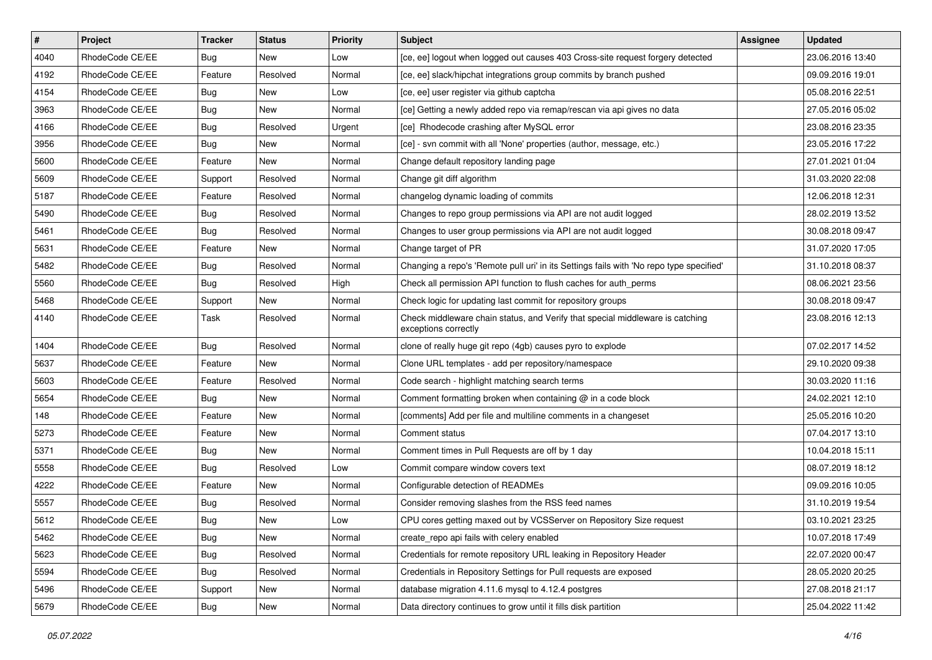| #    | Project         | <b>Tracker</b> | <b>Status</b> | Priority | <b>Subject</b>                                                                                        | <b>Assignee</b> | <b>Updated</b>   |
|------|-----------------|----------------|---------------|----------|-------------------------------------------------------------------------------------------------------|-----------------|------------------|
| 4040 | RhodeCode CE/EE | Bug            | New           | Low      | [ce, ee] logout when logged out causes 403 Cross-site request forgery detected                        |                 | 23.06.2016 13:40 |
| 4192 | RhodeCode CE/EE | Feature        | Resolved      | Normal   | [ce, ee] slack/hipchat integrations group commits by branch pushed                                    |                 | 09.09.2016 19:01 |
| 4154 | RhodeCode CE/EE | Bug            | New           | Low      | [ce, ee] user register via github captcha                                                             |                 | 05.08.2016 22:51 |
| 3963 | RhodeCode CE/EE | Bug            | New           | Normal   | [ce] Getting a newly added repo via remap/rescan via api gives no data                                |                 | 27.05.2016 05:02 |
| 4166 | RhodeCode CE/EE | <b>Bug</b>     | Resolved      | Urgent   | [ce] Rhodecode crashing after MySQL error                                                             |                 | 23.08.2016 23:35 |
| 3956 | RhodeCode CE/EE | Bug            | New           | Normal   | [ce] - svn commit with all 'None' properties (author, message, etc.)                                  |                 | 23.05.2016 17:22 |
| 5600 | RhodeCode CE/EE | Feature        | New           | Normal   | Change default repository landing page                                                                |                 | 27.01.2021 01:04 |
| 5609 | RhodeCode CE/EE | Support        | Resolved      | Normal   | Change git diff algorithm                                                                             |                 | 31.03.2020 22:08 |
| 5187 | RhodeCode CE/EE | Feature        | Resolved      | Normal   | changelog dynamic loading of commits                                                                  |                 | 12.06.2018 12:31 |
| 5490 | RhodeCode CE/EE | Bug            | Resolved      | Normal   | Changes to repo group permissions via API are not audit logged                                        |                 | 28.02.2019 13:52 |
| 5461 | RhodeCode CE/EE | <b>Bug</b>     | Resolved      | Normal   | Changes to user group permissions via API are not audit logged                                        |                 | 30.08.2018 09:47 |
| 5631 | RhodeCode CE/EE | Feature        | New           | Normal   | Change target of PR                                                                                   |                 | 31.07.2020 17:05 |
| 5482 | RhodeCode CE/EE | Bug            | Resolved      | Normal   | Changing a repo's 'Remote pull uri' in its Settings fails with 'No repo type specified'               |                 | 31.10.2018 08:37 |
| 5560 | RhodeCode CE/EE | Bug            | Resolved      | High     | Check all permission API function to flush caches for auth_perms                                      |                 | 08.06.2021 23:56 |
| 5468 | RhodeCode CE/EE | Support        | <b>New</b>    | Normal   | Check logic for updating last commit for repository groups                                            |                 | 30.08.2018 09:47 |
| 4140 | RhodeCode CE/EE | Task           | Resolved      | Normal   | Check middleware chain status, and Verify that special middleware is catching<br>exceptions correctly |                 | 23.08.2016 12:13 |
| 1404 | RhodeCode CE/EE | Bug            | Resolved      | Normal   | clone of really huge git repo (4gb) causes pyro to explode                                            |                 | 07.02.2017 14:52 |
| 5637 | RhodeCode CE/EE | Feature        | New           | Normal   | Clone URL templates - add per repository/namespace                                                    |                 | 29.10.2020 09:38 |
| 5603 | RhodeCode CE/EE | Feature        | Resolved      | Normal   | Code search - highlight matching search terms                                                         |                 | 30.03.2020 11:16 |
| 5654 | RhodeCode CE/EE | Bug            | New           | Normal   | Comment formatting broken when containing @ in a code block                                           |                 | 24.02.2021 12:10 |
| 148  | RhodeCode CE/EE | Feature        | New           | Normal   | [comments] Add per file and multiline comments in a changeset                                         |                 | 25.05.2016 10:20 |
| 5273 | RhodeCode CE/EE | Feature        | New           | Normal   | Comment status                                                                                        |                 | 07.04.2017 13:10 |
| 5371 | RhodeCode CE/EE | Bug            | New           | Normal   | Comment times in Pull Requests are off by 1 day                                                       |                 | 10.04.2018 15:11 |
| 5558 | RhodeCode CE/EE | Bug            | Resolved      | Low      | Commit compare window covers text                                                                     |                 | 08.07.2019 18:12 |
| 4222 | RhodeCode CE/EE | Feature        | <b>New</b>    | Normal   | Configurable detection of READMEs                                                                     |                 | 09.09.2016 10:05 |
| 5557 | RhodeCode CE/EE | Bug            | Resolved      | Normal   | Consider removing slashes from the RSS feed names                                                     |                 | 31.10.2019 19:54 |
| 5612 | RhodeCode CE/EE | Bug            | New           | Low      | CPU cores getting maxed out by VCSServer on Repository Size request                                   |                 | 03.10.2021 23:25 |
| 5462 | RhodeCode CE/EE | <b>Bug</b>     | New           | Normal   | create_repo api fails with celery enabled                                                             |                 | 10.07.2018 17:49 |
| 5623 | RhodeCode CE/EE | Bug            | Resolved      | Normal   | Credentials for remote repository URL leaking in Repository Header                                    |                 | 22.07.2020 00:47 |
| 5594 | RhodeCode CE/EE | <b>Bug</b>     | Resolved      | Normal   | Credentials in Repository Settings for Pull requests are exposed                                      |                 | 28.05.2020 20:25 |
| 5496 | RhodeCode CE/EE | Support        | New           | Normal   | database migration 4.11.6 mysql to 4.12.4 postgres                                                    |                 | 27.08.2018 21:17 |
| 5679 | RhodeCode CE/EE | <b>Bug</b>     | New           | Normal   | Data directory continues to grow until it fills disk partition                                        |                 | 25.04.2022 11:42 |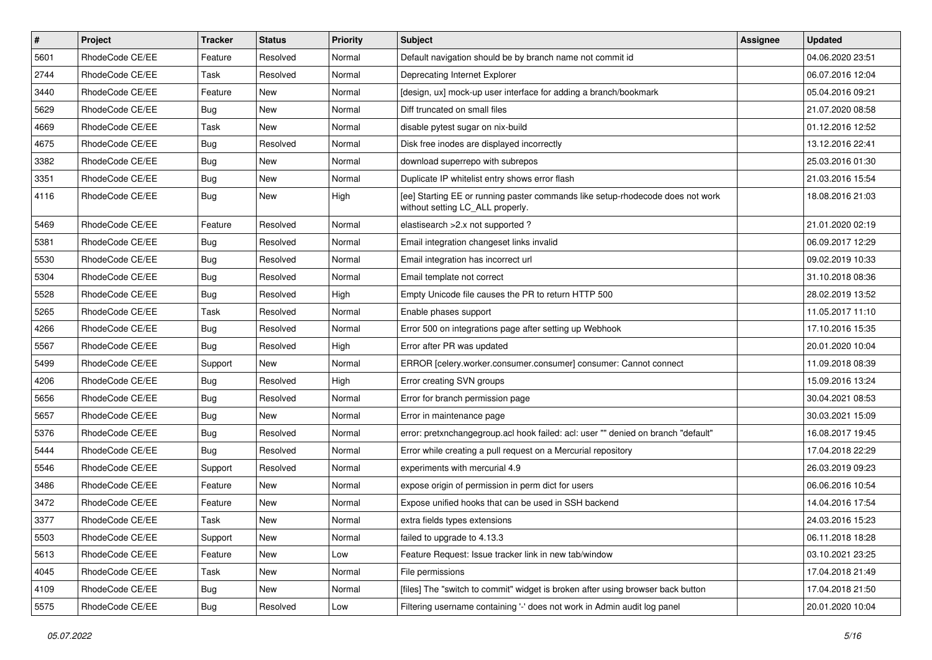| $\vert$ # | Project         | <b>Tracker</b> | <b>Status</b> | <b>Priority</b> | <b>Subject</b>                                                                                                     | <b>Assignee</b> | <b>Updated</b>   |
|-----------|-----------------|----------------|---------------|-----------------|--------------------------------------------------------------------------------------------------------------------|-----------------|------------------|
| 5601      | RhodeCode CE/EE | Feature        | Resolved      | Normal          | Default navigation should be by branch name not commit id                                                          |                 | 04.06.2020 23:51 |
| 2744      | RhodeCode CE/EE | Task           | Resolved      | Normal          | Deprecating Internet Explorer                                                                                      |                 | 06.07.2016 12:04 |
| 3440      | RhodeCode CE/EE | Feature        | New           | Normal          | [design, ux] mock-up user interface for adding a branch/bookmark                                                   |                 | 05.04.2016 09:21 |
| 5629      | RhodeCode CE/EE | <b>Bug</b>     | New           | Normal          | Diff truncated on small files                                                                                      |                 | 21.07.2020 08:58 |
| 4669      | RhodeCode CE/EE | Task           | New           | Normal          | disable pytest sugar on nix-build                                                                                  |                 | 01.12.2016 12:52 |
| 4675      | RhodeCode CE/EE | <b>Bug</b>     | Resolved      | Normal          | Disk free inodes are displayed incorrectly                                                                         |                 | 13.12.2016 22:41 |
| 3382      | RhodeCode CE/EE | Bug            | New           | Normal          | download superrepo with subrepos                                                                                   |                 | 25.03.2016 01:30 |
| 3351      | RhodeCode CE/EE | <b>Bug</b>     | New           | Normal          | Duplicate IP whitelist entry shows error flash                                                                     |                 | 21.03.2016 15:54 |
| 4116      | RhodeCode CE/EE | <b>Bug</b>     | New           | High            | [ee] Starting EE or running paster commands like setup-rhodecode does not work<br>without setting LC_ALL properly. |                 | 18.08.2016 21:03 |
| 5469      | RhodeCode CE/EE | Feature        | Resolved      | Normal          | elastisearch > 2.x not supported?                                                                                  |                 | 21.01.2020 02:19 |
| 5381      | RhodeCode CE/EE | <b>Bug</b>     | Resolved      | Normal          | Email integration changeset links invalid                                                                          |                 | 06.09.2017 12:29 |
| 5530      | RhodeCode CE/EE | <b>Bug</b>     | Resolved      | Normal          | Email integration has incorrect url                                                                                |                 | 09.02.2019 10:33 |
| 5304      | RhodeCode CE/EE | <b>Bug</b>     | Resolved      | Normal          | Email template not correct                                                                                         |                 | 31.10.2018 08:36 |
| 5528      | RhodeCode CE/EE | <b>Bug</b>     | Resolved      | High            | Empty Unicode file causes the PR to return HTTP 500                                                                |                 | 28.02.2019 13:52 |
| 5265      | RhodeCode CE/EE | Task           | Resolved      | Normal          | Enable phases support                                                                                              |                 | 11.05.2017 11:10 |
| 4266      | RhodeCode CE/EE | <b>Bug</b>     | Resolved      | Normal          | Error 500 on integrations page after setting up Webhook                                                            |                 | 17.10.2016 15:35 |
| 5567      | RhodeCode CE/EE | Bug            | Resolved      | High            | Error after PR was updated                                                                                         |                 | 20.01.2020 10:04 |
| 5499      | RhodeCode CE/EE | Support        | <b>New</b>    | Normal          | ERROR [celery.worker.consumer.consumer] consumer: Cannot connect                                                   |                 | 11.09.2018 08:39 |
| 4206      | RhodeCode CE/EE | Bug            | Resolved      | High            | Error creating SVN groups                                                                                          |                 | 15.09.2016 13:24 |
| 5656      | RhodeCode CE/EE | <b>Bug</b>     | Resolved      | Normal          | Error for branch permission page                                                                                   |                 | 30.04.2021 08:53 |
| 5657      | RhodeCode CE/EE | <b>Bug</b>     | New           | Normal          | Error in maintenance page                                                                                          |                 | 30.03.2021 15:09 |
| 5376      | RhodeCode CE/EE | <b>Bug</b>     | Resolved      | Normal          | error: pretxnchangegroup.acl hook failed: acl: user "" denied on branch "default"                                  |                 | 16.08.2017 19:45 |
| 5444      | RhodeCode CE/EE | Bug            | Resolved      | Normal          | Error while creating a pull request on a Mercurial repository                                                      |                 | 17.04.2018 22:29 |
| 5546      | RhodeCode CE/EE | Support        | Resolved      | Normal          | experiments with mercurial 4.9                                                                                     |                 | 26.03.2019 09:23 |
| 3486      | RhodeCode CE/EE | Feature        | New           | Normal          | expose origin of permission in perm dict for users                                                                 |                 | 06.06.2016 10:54 |
| 3472      | RhodeCode CE/EE | Feature        | New           | Normal          | Expose unified hooks that can be used in SSH backend                                                               |                 | 14.04.2016 17:54 |
| 3377      | RhodeCode CE/EE | Task           | New           | Normal          | extra fields types extensions                                                                                      |                 | 24.03.2016 15:23 |
| 5503      | RhodeCode CE/EE | Support        | New           | Normal          | failed to upgrade to 4.13.3                                                                                        |                 | 06.11.2018 18:28 |
| 5613      | RhodeCode CE/EE | Feature        | New           | Low             | Feature Request: Issue tracker link in new tab/window                                                              |                 | 03.10.2021 23:25 |
| 4045      | RhodeCode CE/EE | Task           | New           | Normal          | File permissions                                                                                                   |                 | 17.04.2018 21:49 |
| 4109      | RhodeCode CE/EE | <b>Bug</b>     | New           | Normal          | [files] The "switch to commit" widget is broken after using browser back button                                    |                 | 17.04.2018 21:50 |
| 5575      | RhodeCode CE/EE | <b>Bug</b>     | Resolved      | Low             | Filtering username containing '-' does not work in Admin audit log panel                                           |                 | 20.01.2020 10:04 |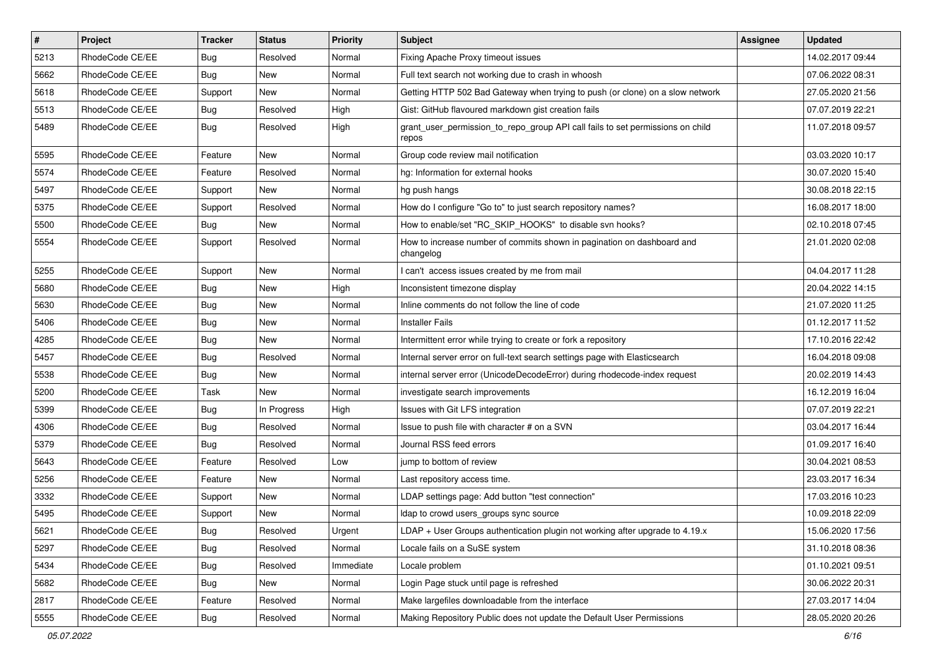| $\vert$ # | Project         | <b>Tracker</b> | <b>Status</b> | <b>Priority</b> | <b>Subject</b>                                                                          | <b>Assignee</b> | <b>Updated</b>   |
|-----------|-----------------|----------------|---------------|-----------------|-----------------------------------------------------------------------------------------|-----------------|------------------|
| 5213      | RhodeCode CE/EE | Bug            | Resolved      | Normal          | Fixing Apache Proxy timeout issues                                                      |                 | 14.02.2017 09:44 |
| 5662      | RhodeCode CE/EE | Bug            | <b>New</b>    | Normal          | Full text search not working due to crash in whoosh                                     |                 | 07.06.2022 08:31 |
| 5618      | RhodeCode CE/EE | Support        | <b>New</b>    | Normal          | Getting HTTP 502 Bad Gateway when trying to push (or clone) on a slow network           |                 | 27.05.2020 21:56 |
| 5513      | RhodeCode CE/EE | Bug            | Resolved      | High            | Gist: GitHub flavoured markdown gist creation fails                                     |                 | 07.07.2019 22:21 |
| 5489      | RhodeCode CE/EE | <b>Bug</b>     | Resolved      | High            | grant_user_permission_to_repo_group API call fails to set permissions on child<br>repos |                 | 11.07.2018 09:57 |
| 5595      | RhodeCode CE/EE | Feature        | New           | Normal          | Group code review mail notification                                                     |                 | 03.03.2020 10:17 |
| 5574      | RhodeCode CE/EE | Feature        | Resolved      | Normal          | hg: Information for external hooks                                                      |                 | 30.07.2020 15:40 |
| 5497      | RhodeCode CE/EE | Support        | <b>New</b>    | Normal          | hg push hangs                                                                           |                 | 30.08.2018 22:15 |
| 5375      | RhodeCode CE/EE | Support        | Resolved      | Normal          | How do I configure "Go to" to just search repository names?                             |                 | 16.08.2017 18:00 |
| 5500      | RhodeCode CE/EE | Bug            | New           | Normal          | How to enable/set "RC_SKIP_HOOKS" to disable svn hooks?                                 |                 | 02.10.2018 07:45 |
| 5554      | RhodeCode CE/EE | Support        | Resolved      | Normal          | How to increase number of commits shown in pagination on dashboard and<br>changelog     |                 | 21.01.2020 02:08 |
| 5255      | RhodeCode CE/EE | Support        | <b>New</b>    | Normal          | I can't access issues created by me from mail                                           |                 | 04.04.2017 11:28 |
| 5680      | RhodeCode CE/EE | Bug            | New           | High            | Inconsistent timezone display                                                           |                 | 20.04.2022 14:15 |
| 5630      | RhodeCode CE/EE | <b>Bug</b>     | <b>New</b>    | Normal          | Inline comments do not follow the line of code                                          |                 | 21.07.2020 11:25 |
| 5406      | RhodeCode CE/EE | <b>Bug</b>     | <b>New</b>    | Normal          | <b>Installer Fails</b>                                                                  |                 | 01.12.2017 11:52 |
| 4285      | RhodeCode CE/EE | <b>Bug</b>     | <b>New</b>    | Normal          | Intermittent error while trying to create or fork a repository                          |                 | 17.10.2016 22:42 |
| 5457      | RhodeCode CE/EE | Bug            | Resolved      | Normal          | Internal server error on full-text search settings page with Elasticsearch              |                 | 16.04.2018 09:08 |
| 5538      | RhodeCode CE/EE | Bug            | New           | Normal          | internal server error (UnicodeDecodeError) during rhodecode-index request               |                 | 20.02.2019 14:43 |
| 5200      | RhodeCode CE/EE | <b>Task</b>    | <b>New</b>    | Normal          | investigate search improvements                                                         |                 | 16.12.2019 16:04 |
| 5399      | RhodeCode CE/EE | Bug            | In Progress   | High            | Issues with Git LFS integration                                                         |                 | 07.07.2019 22:21 |
| 4306      | RhodeCode CE/EE | Bug            | Resolved      | Normal          | Issue to push file with character # on a SVN                                            |                 | 03.04.2017 16:44 |
| 5379      | RhodeCode CE/EE | Bug            | Resolved      | Normal          | Journal RSS feed errors                                                                 |                 | 01.09.2017 16:40 |
| 5643      | RhodeCode CE/EE | Feature        | Resolved      | Low             | jump to bottom of review                                                                |                 | 30.04.2021 08:53 |
| 5256      | RhodeCode CE/EE | Feature        | New           | Normal          | Last repository access time.                                                            |                 | 23.03.2017 16:34 |
| 3332      | RhodeCode CE/EE | Support        | New           | Normal          | LDAP settings page: Add button "test connection"                                        |                 | 17.03.2016 10:23 |
| 5495      | RhodeCode CE/EE | Support        | New           | Normal          | Idap to crowd users_groups sync source                                                  |                 | 10.09.2018 22:09 |
| 5621      | RhodeCode CE/EE | Bug            | Resolved      | Urgent          | $LDAP + User Groups authentication playing not working after upgrade to 4.19.x$         |                 | 15.06.2020 17:56 |
| 5297      | RhodeCode CE/EE | Bug            | Resolved      | Normal          | Locale fails on a SuSE system                                                           |                 | 31.10.2018 08:36 |
| 5434      | RhodeCode CE/EE | Bug            | Resolved      | Immediate       | Locale problem                                                                          |                 | 01.10.2021 09:51 |
| 5682      | RhodeCode CE/EE | <b>Bug</b>     | New           | Normal          | Login Page stuck until page is refreshed                                                |                 | 30.06.2022 20:31 |
| 2817      | RhodeCode CE/EE | Feature        | Resolved      | Normal          | Make largefiles downloadable from the interface                                         |                 | 27.03.2017 14:04 |
| 5555      | RhodeCode CE/EE | Bug            | Resolved      | Normal          | Making Repository Public does not update the Default User Permissions                   |                 | 28.05.2020 20:26 |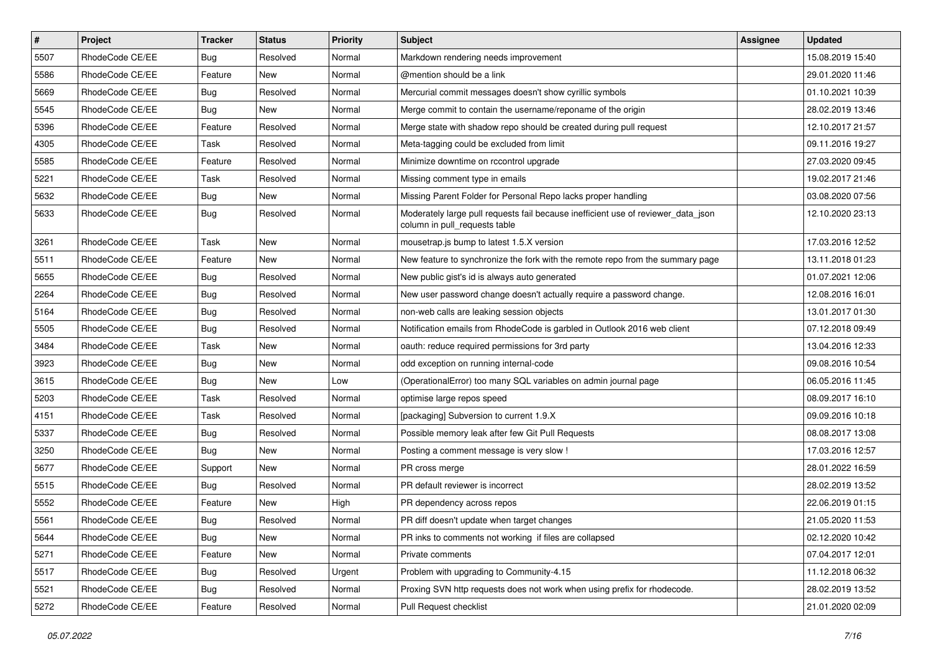| $\vert$ # | Project         | Tracker    | <b>Status</b> | <b>Priority</b> | Subject                                                                                                            | Assignee | <b>Updated</b>   |
|-----------|-----------------|------------|---------------|-----------------|--------------------------------------------------------------------------------------------------------------------|----------|------------------|
| 5507      | RhodeCode CE/EE | Bug        | Resolved      | Normal          | Markdown rendering needs improvement                                                                               |          | 15.08.2019 15:40 |
| 5586      | RhodeCode CE/EE | Feature    | <b>New</b>    | Normal          | @mention should be a link                                                                                          |          | 29.01.2020 11:46 |
| 5669      | RhodeCode CE/EE | <b>Bug</b> | Resolved      | Normal          | Mercurial commit messages doesn't show cyrillic symbols                                                            |          | 01.10.2021 10:39 |
| 5545      | RhodeCode CE/EE | <b>Bug</b> | New           | Normal          | Merge commit to contain the username/reponame of the origin                                                        |          | 28.02.2019 13:46 |
| 5396      | RhodeCode CE/EE | Feature    | Resolved      | Normal          | Merge state with shadow repo should be created during pull request                                                 |          | 12.10.2017 21:57 |
| 4305      | RhodeCode CE/EE | Task       | Resolved      | Normal          | Meta-tagging could be excluded from limit                                                                          |          | 09.11.2016 19:27 |
| 5585      | RhodeCode CE/EE | Feature    | Resolved      | Normal          | Minimize downtime on rccontrol upgrade                                                                             |          | 27.03.2020 09:45 |
| 5221      | RhodeCode CE/EE | Task       | Resolved      | Normal          | Missing comment type in emails                                                                                     |          | 19.02.2017 21:46 |
| 5632      | RhodeCode CE/EE | <b>Bug</b> | New           | Normal          | Missing Parent Folder for Personal Repo lacks proper handling                                                      |          | 03.08.2020 07:56 |
| 5633      | RhodeCode CE/EE | Bug        | Resolved      | Normal          | Moderately large pull requests fail because inefficient use of reviewer_data_json<br>column in pull_requests table |          | 12.10.2020 23:13 |
| 3261      | RhodeCode CE/EE | Task       | New           | Normal          | mousetrap.js bump to latest 1.5.X version                                                                          |          | 17.03.2016 12:52 |
| 5511      | RhodeCode CE/EE | Feature    | <b>New</b>    | Normal          | New feature to synchronize the fork with the remote repo from the summary page                                     |          | 13.11.2018 01:23 |
| 5655      | RhodeCode CE/EE | <b>Bug</b> | Resolved      | Normal          | New public gist's id is always auto generated                                                                      |          | 01.07.2021 12:06 |
| 2264      | RhodeCode CE/EE | Bug        | Resolved      | Normal          | New user password change doesn't actually require a password change.                                               |          | 12.08.2016 16:01 |
| 5164      | RhodeCode CE/EE | <b>Bug</b> | Resolved      | Normal          | non-web calls are leaking session objects                                                                          |          | 13.01.2017 01:30 |
| 5505      | RhodeCode CE/EE | <b>Bug</b> | Resolved      | Normal          | Notification emails from RhodeCode is garbled in Outlook 2016 web client                                           |          | 07.12.2018 09:49 |
| 3484      | RhodeCode CE/EE | Task       | <b>New</b>    | Normal          | oauth: reduce required permissions for 3rd party                                                                   |          | 13.04.2016 12:33 |
| 3923      | RhodeCode CE/EE | <b>Bug</b> | New           | Normal          | odd exception on running internal-code                                                                             |          | 09.08.2016 10:54 |
| 3615      | RhodeCode CE/EE | <b>Bug</b> | New           | Low             | (OperationalError) too many SQL variables on admin journal page                                                    |          | 06.05.2016 11:45 |
| 5203      | RhodeCode CE/EE | Task       | Resolved      | Normal          | optimise large repos speed                                                                                         |          | 08.09.2017 16:10 |
| 4151      | RhodeCode CE/EE | Task       | Resolved      | Normal          | [packaging] Subversion to current 1.9.X                                                                            |          | 09.09.2016 10:18 |
| 5337      | RhodeCode CE/EE | <b>Bug</b> | Resolved      | Normal          | Possible memory leak after few Git Pull Requests                                                                   |          | 08.08.2017 13:08 |
| 3250      | RhodeCode CE/EE | Bug        | New           | Normal          | Posting a comment message is very slow !                                                                           |          | 17.03.2016 12:57 |
| 5677      | RhodeCode CE/EE | Support    | New           | Normal          | PR cross merge                                                                                                     |          | 28.01.2022 16:59 |
| 5515      | RhodeCode CE/EE | Bug        | Resolved      | Normal          | PR default reviewer is incorrect                                                                                   |          | 28.02.2019 13:52 |
| 5552      | RhodeCode CE/EE | Feature    | New           | High            | PR dependency across repos                                                                                         |          | 22.06.2019 01:15 |
| 5561      | RhodeCode CE/EE | <b>Bug</b> | Resolved      | Normal          | PR diff doesn't update when target changes                                                                         |          | 21.05.2020 11:53 |
| 5644      | RhodeCode CE/EE | <b>Bug</b> | New           | Normal          | PR inks to comments not working if files are collapsed                                                             |          | 02.12.2020 10:42 |
| 5271      | RhodeCode CE/EE | Feature    | New           | Normal          | Private comments                                                                                                   |          | 07.04.2017 12:01 |
| 5517      | RhodeCode CE/EE | Bug        | Resolved      | Urgent          | Problem with upgrading to Community-4.15                                                                           |          | 11.12.2018 06:32 |
| 5521      | RhodeCode CE/EE | <b>Bug</b> | Resolved      | Normal          | Proxing SVN http requests does not work when using prefix for rhodecode.                                           |          | 28.02.2019 13:52 |
| 5272      | RhodeCode CE/EE | Feature    | Resolved      | Normal          | Pull Request checklist                                                                                             |          | 21.01.2020 02:09 |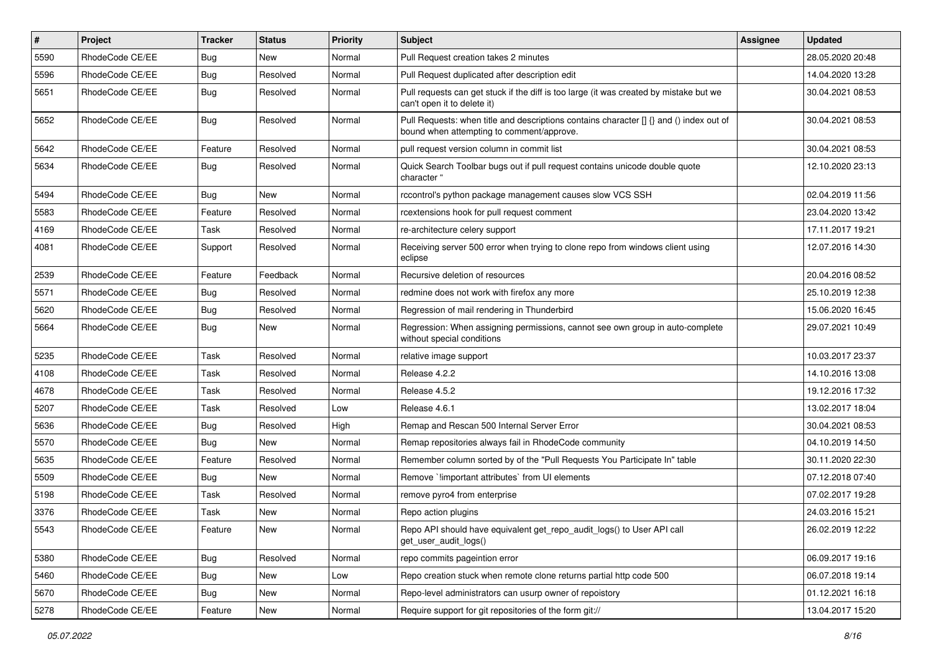| $\vert$ # | Project         | Tracker    | <b>Status</b> | <b>Priority</b> | Subject                                                                                                                              | Assignee | <b>Updated</b>   |
|-----------|-----------------|------------|---------------|-----------------|--------------------------------------------------------------------------------------------------------------------------------------|----------|------------------|
| 5590      | RhodeCode CE/EE | Bug        | New           | Normal          | Pull Request creation takes 2 minutes                                                                                                |          | 28.05.2020 20:48 |
| 5596      | RhodeCode CE/EE | <b>Bug</b> | Resolved      | Normal          | Pull Request duplicated after description edit                                                                                       |          | 14.04.2020 13:28 |
| 5651      | RhodeCode CE/EE | Bug        | Resolved      | Normal          | Pull requests can get stuck if the diff is too large (it was created by mistake but we<br>can't open it to delete it)                |          | 30.04.2021 08:53 |
| 5652      | RhodeCode CE/EE | Bug        | Resolved      | Normal          | Pull Requests: when title and descriptions contains character [] {} and () index out of<br>bound when attempting to comment/approve. |          | 30.04.2021 08:53 |
| 5642      | RhodeCode CE/EE | Feature    | Resolved      | Normal          | pull request version column in commit list                                                                                           |          | 30.04.2021 08:53 |
| 5634      | RhodeCode CE/EE | <b>Bug</b> | Resolved      | Normal          | Quick Search Toolbar bugs out if pull request contains unicode double quote<br>character "                                           |          | 12.10.2020 23:13 |
| 5494      | RhodeCode CE/EE | <b>Bug</b> | <b>New</b>    | Normal          | rccontrol's python package management causes slow VCS SSH                                                                            |          | 02.04.2019 11:56 |
| 5583      | RhodeCode CE/EE | Feature    | Resolved      | Normal          | rcextensions hook for pull request comment                                                                                           |          | 23.04.2020 13:42 |
| 4169      | RhodeCode CE/EE | Task       | Resolved      | Normal          | re-architecture celery support                                                                                                       |          | 17.11.2017 19:21 |
| 4081      | RhodeCode CE/EE | Support    | Resolved      | Normal          | Receiving server 500 error when trying to clone repo from windows client using<br>eclipse                                            |          | 12.07.2016 14:30 |
| 2539      | RhodeCode CE/EE | Feature    | Feedback      | Normal          | Recursive deletion of resources                                                                                                      |          | 20.04.2016 08:52 |
| 5571      | RhodeCode CE/EE | Bug        | Resolved      | Normal          | redmine does not work with firefox any more                                                                                          |          | 25.10.2019 12:38 |
| 5620      | RhodeCode CE/EE | Bug        | Resolved      | Normal          | Regression of mail rendering in Thunderbird                                                                                          |          | 15.06.2020 16:45 |
| 5664      | RhodeCode CE/EE | <b>Bug</b> | New           | Normal          | Regression: When assigning permissions, cannot see own group in auto-complete<br>without special conditions                          |          | 29.07.2021 10:49 |
| 5235      | RhodeCode CE/EE | Task       | Resolved      | Normal          | relative image support                                                                                                               |          | 10.03.2017 23:37 |
| 4108      | RhodeCode CE/EE | Task       | Resolved      | Normal          | Release 4.2.2                                                                                                                        |          | 14.10.2016 13:08 |
| 4678      | RhodeCode CE/EE | Task       | Resolved      | Normal          | Release 4.5.2                                                                                                                        |          | 19.12.2016 17:32 |
| 5207      | RhodeCode CE/EE | Task       | Resolved      | Low             | Release 4.6.1                                                                                                                        |          | 13.02.2017 18:04 |
| 5636      | RhodeCode CE/EE | Bug        | Resolved      | High            | Remap and Rescan 500 Internal Server Error                                                                                           |          | 30.04.2021 08:53 |
| 5570      | RhodeCode CE/EE | <b>Bug</b> | <b>New</b>    | Normal          | Remap repositories always fail in RhodeCode community                                                                                |          | 04.10.2019 14:50 |
| 5635      | RhodeCode CE/EE | Feature    | Resolved      | Normal          | Remember column sorted by of the "Pull Requests You Participate In" table                                                            |          | 30.11.2020 22:30 |
| 5509      | RhodeCode CE/EE | Bug        | New           | Normal          | Remove `!important attributes` from UI elements                                                                                      |          | 07.12.2018 07:40 |
| 5198      | RhodeCode CE/EE | Task       | Resolved      | Normal          | remove pyro4 from enterprise                                                                                                         |          | 07.02.2017 19:28 |
| 3376      | RhodeCode CE/EE | Task       | New           | Normal          | Repo action plugins                                                                                                                  |          | 24.03.2016 15:21 |
| 5543      | RhodeCode CE/EE | Feature    | New           | Normal          | Repo API should have equivalent get_repo_audit_logs() to User API call<br>get user audit logs()                                      |          | 26.02.2019 12:22 |
| 5380      | RhodeCode CE/EE | Bug        | Resolved      | Normal          | repo commits pageintion error                                                                                                        |          | 06.09.2017 19:16 |
| 5460      | RhodeCode CE/EE | Bug        | New           | Low             | Repo creation stuck when remote clone returns partial http code 500                                                                  |          | 06.07.2018 19:14 |
| 5670      | RhodeCode CE/EE | Bug        | New           | Normal          | Repo-level administrators can usurp owner of repoistory                                                                              |          | 01.12.2021 16:18 |
| 5278      | RhodeCode CE/EE | Feature    | New           | Normal          | Require support for git repositories of the form git://                                                                              |          | 13.04.2017 15:20 |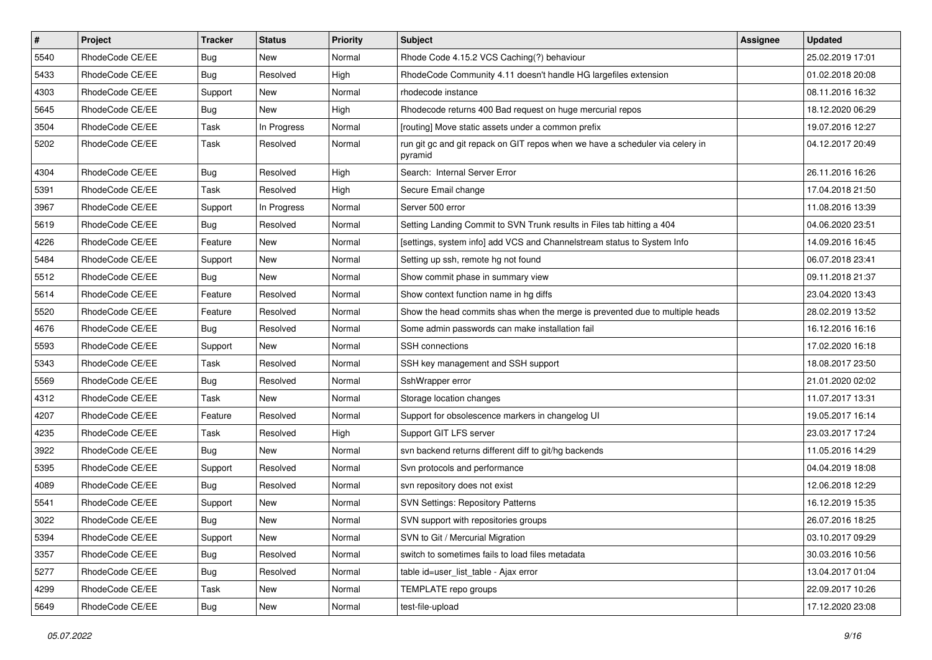| $\pmb{\#}$ | <b>Project</b>  | <b>Tracker</b> | <b>Status</b> | <b>Priority</b> | <b>Subject</b>                                                                           | <b>Assignee</b> | <b>Updated</b>   |
|------------|-----------------|----------------|---------------|-----------------|------------------------------------------------------------------------------------------|-----------------|------------------|
| 5540       | RhodeCode CE/EE | <b>Bug</b>     | <b>New</b>    | Normal          | Rhode Code 4.15.2 VCS Caching(?) behaviour                                               |                 | 25.02.2019 17:01 |
| 5433       | RhodeCode CE/EE | Bug            | Resolved      | High            | RhodeCode Community 4.11 doesn't handle HG largefiles extension                          |                 | 01.02.2018 20:08 |
| 4303       | RhodeCode CE/EE | Support        | New           | Normal          | rhodecode instance                                                                       |                 | 08.11.2016 16:32 |
| 5645       | RhodeCode CE/EE | Bug            | New           | High            | Rhodecode returns 400 Bad request on huge mercurial repos                                |                 | 18.12.2020 06:29 |
| 3504       | RhodeCode CE/EE | Task           | In Progress   | Normal          | [routing] Move static assets under a common prefix                                       |                 | 19.07.2016 12:27 |
| 5202       | RhodeCode CE/EE | Task           | Resolved      | Normal          | run git gc and git repack on GIT repos when we have a scheduler via celery in<br>pyramid |                 | 04.12.2017 20:49 |
| 4304       | RhodeCode CE/EE | Bug            | Resolved      | High            | Search: Internal Server Error                                                            |                 | 26.11.2016 16:26 |
| 5391       | RhodeCode CE/EE | Task           | Resolved      | High            | Secure Email change                                                                      |                 | 17.04.2018 21:50 |
| 3967       | RhodeCode CE/EE | Support        | In Progress   | Normal          | Server 500 error                                                                         |                 | 11.08.2016 13:39 |
| 5619       | RhodeCode CE/EE | Bug            | Resolved      | Normal          | Setting Landing Commit to SVN Trunk results in Files tab hitting a 404                   |                 | 04.06.2020 23:51 |
| 4226       | RhodeCode CE/EE | Feature        | New           | Normal          | [settings, system info] add VCS and Channelstream status to System Info                  |                 | 14.09.2016 16:45 |
| 5484       | RhodeCode CE/EE | Support        | <b>New</b>    | Normal          | Setting up ssh, remote hg not found                                                      |                 | 06.07.2018 23:41 |
| 5512       | RhodeCode CE/EE | Bug            | <b>New</b>    | Normal          | Show commit phase in summary view                                                        |                 | 09.11.2018 21:37 |
| 5614       | RhodeCode CE/EE | Feature        | Resolved      | Normal          | Show context function name in hg diffs                                                   |                 | 23.04.2020 13:43 |
| 5520       | RhodeCode CE/EE | Feature        | Resolved      | Normal          | Show the head commits shas when the merge is prevented due to multiple heads             |                 | 28.02.2019 13:52 |
| 4676       | RhodeCode CE/EE | Bug            | Resolved      | Normal          | Some admin passwords can make installation fail                                          |                 | 16.12.2016 16:16 |
| 5593       | RhodeCode CE/EE | Support        | <b>New</b>    | Normal          | <b>SSH</b> connections                                                                   |                 | 17.02.2020 16:18 |
| 5343       | RhodeCode CE/EE | Task           | Resolved      | Normal          | SSH key management and SSH support                                                       |                 | 18.08.2017 23:50 |
| 5569       | RhodeCode CE/EE | Bug            | Resolved      | Normal          | SshWrapper error                                                                         |                 | 21.01.2020 02:02 |
| 4312       | RhodeCode CE/EE | Task           | New           | Normal          | Storage location changes                                                                 |                 | 11.07.2017 13:31 |
| 4207       | RhodeCode CE/EE | Feature        | Resolved      | Normal          | Support for obsolescence markers in changelog UI                                         |                 | 19.05.2017 16:14 |
| 4235       | RhodeCode CE/EE | Task           | Resolved      | High            | Support GIT LFS server                                                                   |                 | 23.03.2017 17:24 |
| 3922       | RhodeCode CE/EE | Bug            | <b>New</b>    | Normal          | svn backend returns different diff to git/hg backends                                    |                 | 11.05.2016 14:29 |
| 5395       | RhodeCode CE/EE | Support        | Resolved      | Normal          | Svn protocols and performance                                                            |                 | 04.04.2019 18:08 |
| 4089       | RhodeCode CE/EE | Bug            | Resolved      | Normal          | svn repository does not exist                                                            |                 | 12.06.2018 12:29 |
| 5541       | RhodeCode CE/EE | Support        | <b>New</b>    | Normal          | <b>SVN Settings: Repository Patterns</b>                                                 |                 | 16.12.2019 15:35 |
| 3022       | RhodeCode CE/EE | Bug            | New           | Normal          | SVN support with repositories groups                                                     |                 | 26.07.2016 18:25 |
| 5394       | RhodeCode CE/EE | Support        | New           | Normal          | SVN to Git / Mercurial Migration                                                         |                 | 03.10.2017 09:29 |
| 3357       | RhodeCode CE/EE | Bug            | Resolved      | Normal          | switch to sometimes fails to load files metadata                                         |                 | 30.03.2016 10:56 |
| 5277       | RhodeCode CE/EE | <b>Bug</b>     | Resolved      | Normal          | table id=user_list_table - Ajax error                                                    |                 | 13.04.2017 01:04 |
| 4299       | RhodeCode CE/EE | Task           | New           | Normal          | TEMPLATE repo groups                                                                     |                 | 22.09.2017 10:26 |
| 5649       | RhodeCode CE/EE | <b>Bug</b>     | New           | Normal          | test-file-upload                                                                         |                 | 17.12.2020 23:08 |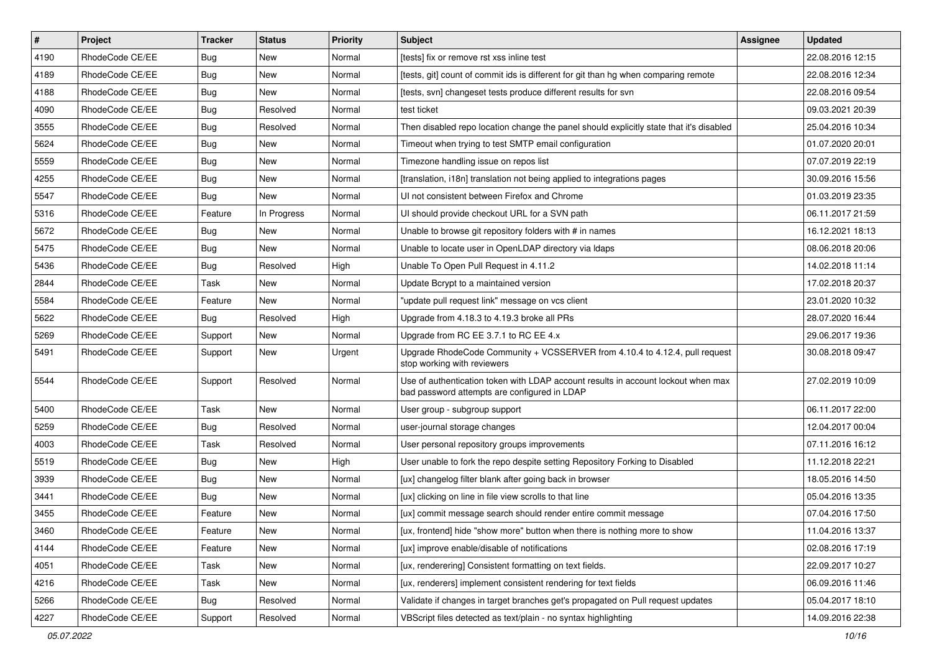| $\pmb{\#}$ | Project         | <b>Tracker</b> | <b>Status</b> | <b>Priority</b> | Subject                                                                                                                           | <b>Assignee</b> | <b>Updated</b>   |
|------------|-----------------|----------------|---------------|-----------------|-----------------------------------------------------------------------------------------------------------------------------------|-----------------|------------------|
| 4190       | RhodeCode CE/EE | Bug            | <b>New</b>    | Normal          | [tests] fix or remove rst xss inline test                                                                                         |                 | 22.08.2016 12:15 |
| 4189       | RhodeCode CE/EE | Bug            | <b>New</b>    | Normal          | [tests, git] count of commit ids is different for git than hg when comparing remote                                               |                 | 22.08.2016 12:34 |
| 4188       | RhodeCode CE/EE | Bug            | New           | Normal          | [tests, svn] changeset tests produce different results for svn                                                                    |                 | 22.08.2016 09:54 |
| 4090       | RhodeCode CE/EE | <b>Bug</b>     | Resolved      | Normal          | test ticket                                                                                                                       |                 | 09.03.2021 20:39 |
| 3555       | RhodeCode CE/EE | <b>Bug</b>     | Resolved      | Normal          | Then disabled repo location change the panel should explicitly state that it's disabled                                           |                 | 25.04.2016 10:34 |
| 5624       | RhodeCode CE/EE | Bug            | New           | Normal          | Timeout when trying to test SMTP email configuration                                                                              |                 | 01.07.2020 20:01 |
| 5559       | RhodeCode CE/EE | Bug            | New           | Normal          | Timezone handling issue on repos list                                                                                             |                 | 07.07.2019 22:19 |
| 4255       | RhodeCode CE/EE | Bug            | New           | Normal          | [translation, i18n] translation not being applied to integrations pages                                                           |                 | 30.09.2016 15:56 |
| 5547       | RhodeCode CE/EE | Bug            | <b>New</b>    | Normal          | UI not consistent between Firefox and Chrome                                                                                      |                 | 01.03.2019 23:35 |
| 5316       | RhodeCode CE/EE | Feature        | In Progress   | Normal          | UI should provide checkout URL for a SVN path                                                                                     |                 | 06.11.2017 21:59 |
| 5672       | RhodeCode CE/EE | Bug            | New           | Normal          | Unable to browse git repository folders with # in names                                                                           |                 | 16.12.2021 18:13 |
| 5475       | RhodeCode CE/EE | Bug            | <b>New</b>    | Normal          | Unable to locate user in OpenLDAP directory via Idaps                                                                             |                 | 08.06.2018 20:06 |
| 5436       | RhodeCode CE/EE | Bug            | Resolved      | High            | Unable To Open Pull Request in 4.11.2                                                                                             |                 | 14.02.2018 11:14 |
| 2844       | RhodeCode CE/EE | Task           | New           | Normal          | Update Bcrypt to a maintained version                                                                                             |                 | 17.02.2018 20:37 |
| 5584       | RhodeCode CE/EE | Feature        | <b>New</b>    | Normal          | "update pull request link" message on vcs client                                                                                  |                 | 23.01.2020 10:32 |
| 5622       | RhodeCode CE/EE | Bug            | Resolved      | High            | Upgrade from 4.18.3 to 4.19.3 broke all PRs                                                                                       |                 | 28.07.2020 16:44 |
| 5269       | RhodeCode CE/EE | Support        | New           | Normal          | Upgrade from RC EE 3.7.1 to RC EE 4.x                                                                                             |                 | 29.06.2017 19:36 |
| 5491       | RhodeCode CE/EE | Support        | <b>New</b>    | Urgent          | Upgrade RhodeCode Community + VCSSERVER from 4.10.4 to 4.12.4, pull request<br>stop working with reviewers                        |                 | 30.08.2018 09:47 |
| 5544       | RhodeCode CE/EE | Support        | Resolved      | Normal          | Use of authentication token with LDAP account results in account lockout when max<br>bad password attempts are configured in LDAP |                 | 27.02.2019 10:09 |
| 5400       | RhodeCode CE/EE | Task           | New           | Normal          | User group - subgroup support                                                                                                     |                 | 06.11.2017 22:00 |
| 5259       | RhodeCode CE/EE | Bug            | Resolved      | Normal          | user-journal storage changes                                                                                                      |                 | 12.04.2017 00:04 |
| 4003       | RhodeCode CE/EE | Task           | Resolved      | Normal          | User personal repository groups improvements                                                                                      |                 | 07.11.2016 16:12 |
| 5519       | RhodeCode CE/EE | Bug            | New           | High            | User unable to fork the repo despite setting Repository Forking to Disabled                                                       |                 | 11.12.2018 22:21 |
| 3939       | RhodeCode CE/EE | <b>Bug</b>     | <b>New</b>    | Normal          | [ux] changelog filter blank after going back in browser                                                                           |                 | 18.05.2016 14:50 |
| 3441       | RhodeCode CE/EE | Bug            | New           | Normal          | [ux] clicking on line in file view scrolls to that line                                                                           |                 | 05.04.2016 13:35 |
| 3455       | RhodeCode CE/EE | Feature        | New           | Normal          | [ux] commit message search should render entire commit message                                                                    |                 | 07.04.2016 17:50 |
| 3460       | RhodeCode CE/EE | Feature        | New           | Normal          | [ux, frontend] hide "show more" button when there is nothing more to show                                                         |                 | 11.04.2016 13:37 |
| 4144       | RhodeCode CE/EE | Feature        | New           | Normal          | [ux] improve enable/disable of notifications                                                                                      |                 | 02.08.2016 17:19 |
| 4051       | RhodeCode CE/EE | Task           | New           | Normal          | [ux, renderering] Consistent formatting on text fields.                                                                           |                 | 22.09.2017 10:27 |
| 4216       | RhodeCode CE/EE | Task           | New           | Normal          | [ux, renderers] implement consistent rendering for text fields                                                                    |                 | 06.09.2016 11:46 |
| 5266       | RhodeCode CE/EE | Bug            | Resolved      | Normal          | Validate if changes in target branches get's propagated on Pull request updates                                                   |                 | 05.04.2017 18:10 |
| 4227       | RhodeCode CE/EE | Support        | Resolved      | Normal          | VBScript files detected as text/plain - no syntax highlighting                                                                    |                 | 14.09.2016 22:38 |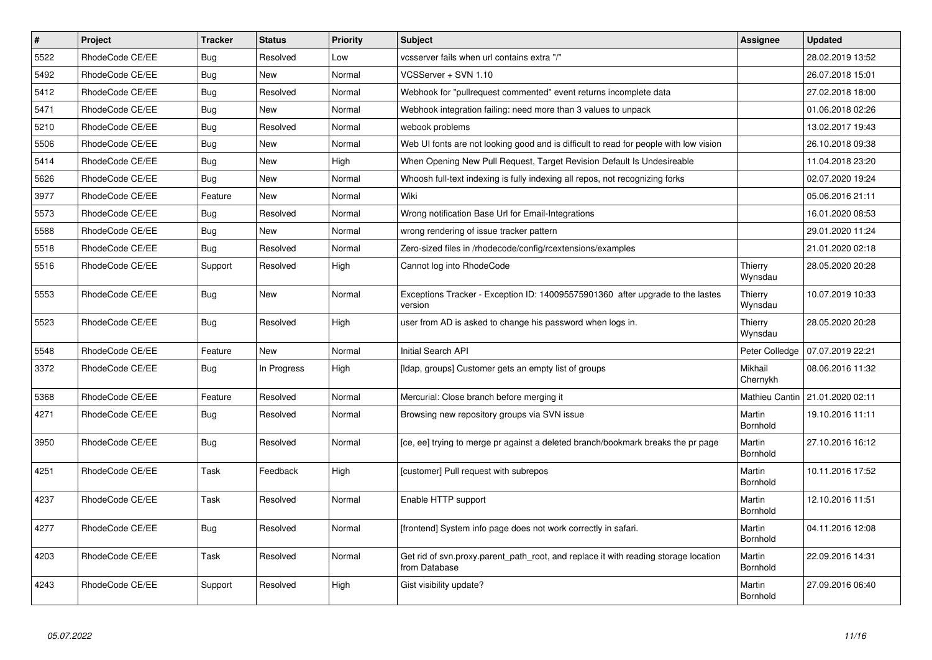| $\pmb{\#}$ | <b>Project</b>  | <b>Tracker</b> | <b>Status</b> | <b>Priority</b> | <b>Subject</b>                                                                                       | <b>Assignee</b>     | <b>Updated</b>   |
|------------|-----------------|----------------|---------------|-----------------|------------------------------------------------------------------------------------------------------|---------------------|------------------|
| 5522       | RhodeCode CE/EE | Bug            | Resolved      | Low             | vcsserver fails when url contains extra "/"                                                          |                     | 28.02.2019 13:52 |
| 5492       | RhodeCode CE/EE | <b>Bug</b>     | <b>New</b>    | Normal          | VCSServer + SVN 1.10                                                                                 |                     | 26.07.2018 15:01 |
| 5412       | RhodeCode CE/EE | Bug            | Resolved      | Normal          | Webhook for "pullrequest commented" event returns incomplete data                                    |                     | 27.02.2018 18:00 |
| 5471       | RhodeCode CE/EE | <b>Bug</b>     | <b>New</b>    | Normal          | Webhook integration failing: need more than 3 values to unpack                                       |                     | 01.06.2018 02:26 |
| 5210       | RhodeCode CE/EE | Bug            | Resolved      | Normal          | webook problems                                                                                      |                     | 13.02.2017 19:43 |
| 5506       | RhodeCode CE/EE | Bug            | New           | Normal          | Web UI fonts are not looking good and is difficult to read for people with low vision                |                     | 26.10.2018 09:38 |
| 5414       | RhodeCode CE/EE | Bug            | New           | High            | When Opening New Pull Request, Target Revision Default Is Undesireable                               |                     | 11.04.2018 23:20 |
| 5626       | RhodeCode CE/EE | Bug            | New           | Normal          | Whoosh full-text indexing is fully indexing all repos, not recognizing forks                         |                     | 02.07.2020 19:24 |
| 3977       | RhodeCode CE/EE | Feature        | New           | Normal          | Wiki                                                                                                 |                     | 05.06.2016 21:11 |
| 5573       | RhodeCode CE/EE | Bug            | Resolved      | Normal          | Wrong notification Base Url for Email-Integrations                                                   |                     | 16.01.2020 08:53 |
| 5588       | RhodeCode CE/EE | <b>Bug</b>     | New           | Normal          | wrong rendering of issue tracker pattern                                                             |                     | 29.01.2020 11:24 |
| 5518       | RhodeCode CE/EE | Bug            | Resolved      | Normal          | Zero-sized files in /rhodecode/config/rcextensions/examples                                          |                     | 21.01.2020 02:18 |
| 5516       | RhodeCode CE/EE | Support        | Resolved      | High            | Cannot log into RhodeCode                                                                            | Thierry<br>Wynsdau  | 28.05.2020 20:28 |
| 5553       | RhodeCode CE/EE | Bug            | New           | Normal          | Exceptions Tracker - Exception ID: 140095575901360 after upgrade to the lastes<br>version            | Thierry<br>Wynsdau  | 10.07.2019 10:33 |
| 5523       | RhodeCode CE/EE | Bug            | Resolved      | High            | user from AD is asked to change his password when logs in.                                           | Thierry<br>Wynsdau  | 28.05.2020 20:28 |
| 5548       | RhodeCode CE/EE | Feature        | <b>New</b>    | Normal          | <b>Initial Search API</b>                                                                            | Peter Colledge      | 07.07.2019 22:21 |
| 3372       | RhodeCode CE/EE | <b>Bug</b>     | In Progress   | High            | [Idap, groups] Customer gets an empty list of groups                                                 | Mikhail<br>Chernykh | 08.06.2016 11:32 |
| 5368       | RhodeCode CE/EE | Feature        | Resolved      | Normal          | Mercurial: Close branch before merging it                                                            | Mathieu Cantin      | 21.01.2020 02:11 |
| 4271       | RhodeCode CE/EE | <b>Bug</b>     | Resolved      | Normal          | Browsing new repository groups via SVN issue                                                         | Martin<br>Bornhold  | 19.10.2016 11:11 |
| 3950       | RhodeCode CE/EE | <b>Bug</b>     | Resolved      | Normal          | [ce, ee] trying to merge pr against a deleted branch/bookmark breaks the pr page                     | Martin<br>Bornhold  | 27.10.2016 16:12 |
| 4251       | RhodeCode CE/EE | Task           | Feedback      | High            | [customer] Pull request with subrepos                                                                | Martin<br>Bornhold  | 10.11.2016 17:52 |
| 4237       | RhodeCode CE/EE | Task           | Resolved      | Normal          | Enable HTTP support                                                                                  | Martin<br>Bornhold  | 12.10.2016 11:51 |
| 4277       | RhodeCode CE/EE | Bug            | Resolved      | Normal          | [frontend] System info page does not work correctly in safari.                                       | Martin<br>Bornhold  | 04.11.2016 12:08 |
| 4203       | RhodeCode CE/EE | Task           | Resolved      | Normal          | Get rid of svn.proxy.parent_path_root, and replace it with reading storage location<br>from Database | Martin<br>Bornhold  | 22.09.2016 14:31 |
| 4243       | RhodeCode CE/EE | Support        | Resolved      | High            | Gist visibility update?                                                                              | Martin<br>Bornhold  | 27.09.2016 06:40 |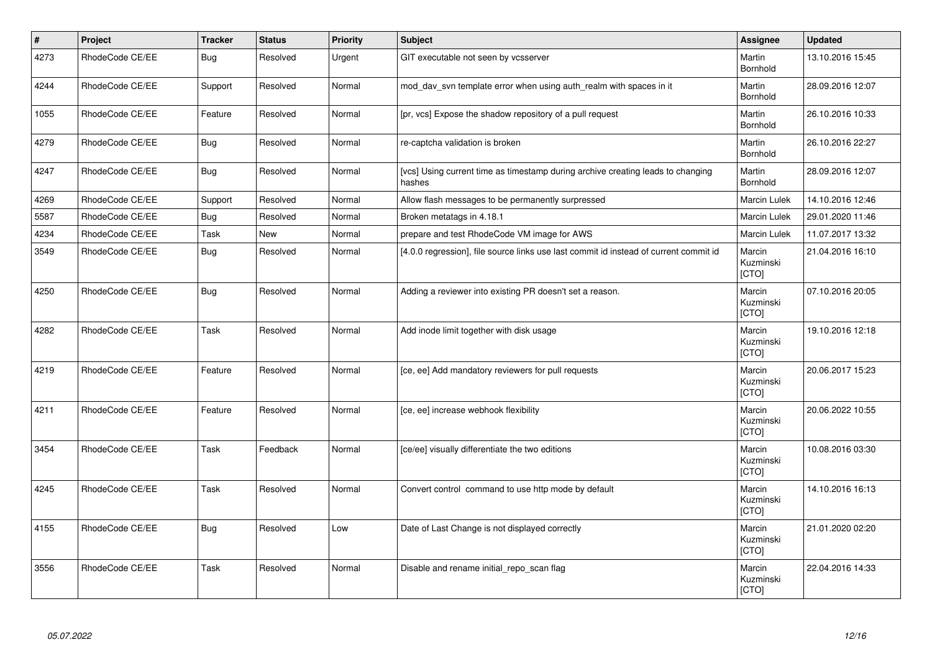| $\vert$ # | Project         | <b>Tracker</b> | <b>Status</b> | <b>Priority</b> | <b>Subject</b>                                                                            | Assignee                     | <b>Updated</b>   |
|-----------|-----------------|----------------|---------------|-----------------|-------------------------------------------------------------------------------------------|------------------------------|------------------|
| 4273      | RhodeCode CE/EE | Bug            | Resolved      | Urgent          | GIT executable not seen by vcsserver                                                      | Martin<br>Bornhold           | 13.10.2016 15:45 |
| 4244      | RhodeCode CE/EE | Support        | Resolved      | Normal          | mod_dav_svn template error when using auth_realm with spaces in it                        | Martin<br>Bornhold           | 28.09.2016 12:07 |
| 1055      | RhodeCode CE/EE | Feature        | Resolved      | Normal          | [pr, vcs] Expose the shadow repository of a pull request                                  | Martin<br>Bornhold           | 26.10.2016 10:33 |
| 4279      | RhodeCode CE/EE | <b>Bug</b>     | Resolved      | Normal          | re-captcha validation is broken                                                           | Martin<br>Bornhold           | 26.10.2016 22:27 |
| 4247      | RhodeCode CE/EE | Bug            | Resolved      | Normal          | [vcs] Using current time as timestamp during archive creating leads to changing<br>hashes | Martin<br>Bornhold           | 28.09.2016 12:07 |
| 4269      | RhodeCode CE/EE | Support        | Resolved      | Normal          | Allow flash messages to be permanently surpressed                                         | Marcin Lulek                 | 14.10.2016 12:46 |
| 5587      | RhodeCode CE/EE | Bug            | Resolved      | Normal          | Broken metatags in 4.18.1                                                                 | Marcin Lulek                 | 29.01.2020 11:46 |
| 4234      | RhodeCode CE/EE | Task           | New           | Normal          | prepare and test RhodeCode VM image for AWS                                               | <b>Marcin Lulek</b>          | 11.07.2017 13:32 |
| 3549      | RhodeCode CE/EE | Bug            | Resolved      | Normal          | [4.0.0 regression], file source links use last commit id instead of current commit id     | Marcin<br>Kuzminski<br>[CTO] | 21.04.2016 16:10 |
| 4250      | RhodeCode CE/EE | Bug            | Resolved      | Normal          | Adding a reviewer into existing PR doesn't set a reason.                                  | Marcin<br>Kuzminski<br>[CTO] | 07.10.2016 20:05 |
| 4282      | RhodeCode CE/EE | Task           | Resolved      | Normal          | Add inode limit together with disk usage                                                  | Marcin<br>Kuzminski<br>[CTO] | 19.10.2016 12:18 |
| 4219      | RhodeCode CE/EE | Feature        | Resolved      | Normal          | [ce, ee] Add mandatory reviewers for pull requests                                        | Marcin<br>Kuzminski<br>[CTO] | 20.06.2017 15:23 |
| 4211      | RhodeCode CE/EE | Feature        | Resolved      | Normal          | [ce, ee] increase webhook flexibility                                                     | Marcin<br>Kuzminski<br>[CTO] | 20.06.2022 10:55 |
| 3454      | RhodeCode CE/EE | Task           | Feedback      | Normal          | [ce/ee] visually differentiate the two editions                                           | Marcin<br>Kuzminski<br>[CTO] | 10.08.2016 03:30 |
| 4245      | RhodeCode CE/EE | Task           | Resolved      | Normal          | Convert control command to use http mode by default                                       | Marcin<br>Kuzminski<br>[CTO] | 14.10.2016 16:13 |
| 4155      | RhodeCode CE/EE | Bug            | Resolved      | Low             | Date of Last Change is not displayed correctly                                            | Marcin<br>Kuzminski<br>[CTO] | 21.01.2020 02:20 |
| 3556      | RhodeCode CE/EE | Task           | Resolved      | Normal          | Disable and rename initial repo scan flag                                                 | Marcin<br>Kuzminski<br>[CTO] | 22.04.2016 14:33 |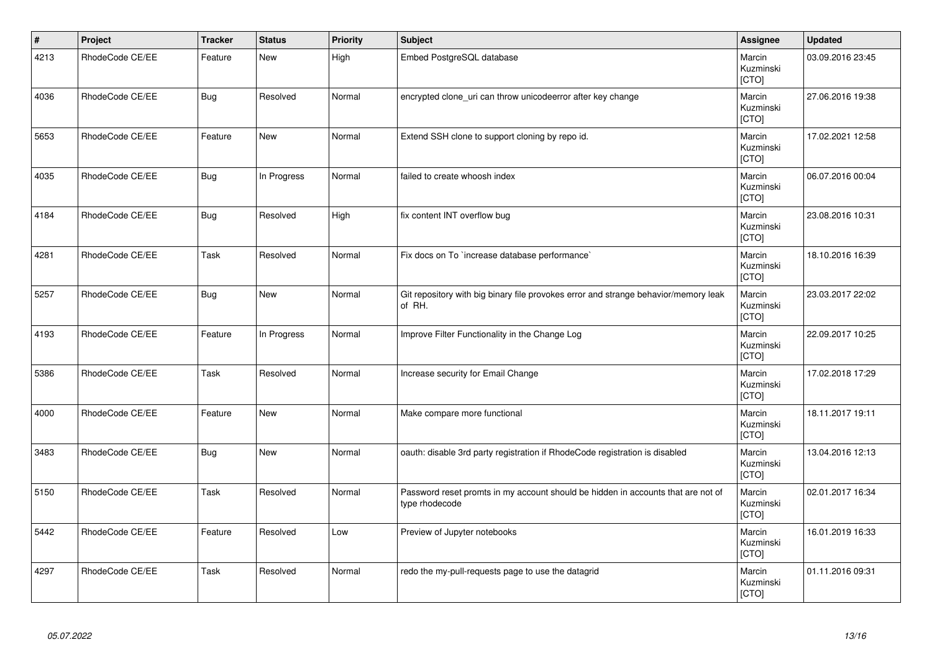| $\vert$ # | Project         | <b>Tracker</b> | <b>Status</b> | <b>Priority</b> | <b>Subject</b>                                                                                     | Assignee                            | <b>Updated</b>   |
|-----------|-----------------|----------------|---------------|-----------------|----------------------------------------------------------------------------------------------------|-------------------------------------|------------------|
| 4213      | RhodeCode CE/EE | Feature        | <b>New</b>    | High            | Embed PostgreSQL database                                                                          | Marcin<br>Kuzminski<br>[CTO]        | 03.09.2016 23:45 |
| 4036      | RhodeCode CE/EE | <b>Bug</b>     | Resolved      | Normal          | encrypted clone_uri can throw unicodeerror after key change                                        | Marcin<br>Kuzminski<br>[CTO]        | 27.06.2016 19:38 |
| 5653      | RhodeCode CE/EE | Feature        | <b>New</b>    | Normal          | Extend SSH clone to support cloning by repo id.                                                    | Marcin<br>Kuzminski<br><b>[CTO]</b> | 17.02.2021 12:58 |
| 4035      | RhodeCode CE/EE | <b>Bug</b>     | In Progress   | Normal          | failed to create whoosh index                                                                      | Marcin<br>Kuzminski<br>[CTO]        | 06.07.2016 00:04 |
| 4184      | RhodeCode CE/EE | <b>Bug</b>     | Resolved      | High            | fix content INT overflow bug                                                                       | Marcin<br>Kuzminski<br>[CTO]        | 23.08.2016 10:31 |
| 4281      | RhodeCode CE/EE | Task           | Resolved      | Normal          | Fix docs on To `increase database performance`                                                     | Marcin<br>Kuzminski<br>[CTO]        | 18.10.2016 16:39 |
| 5257      | RhodeCode CE/EE | <b>Bug</b>     | <b>New</b>    | Normal          | Git repository with big binary file provokes error and strange behavior/memory leak<br>of RH.      | Marcin<br>Kuzminski<br>[CTO]        | 23.03.2017 22:02 |
| 4193      | RhodeCode CE/EE | Feature        | In Progress   | Normal          | Improve Filter Functionality in the Change Log                                                     | Marcin<br>Kuzminski<br>[CTO]        | 22.09.2017 10:25 |
| 5386      | RhodeCode CE/EE | Task           | Resolved      | Normal          | Increase security for Email Change                                                                 | Marcin<br>Kuzminski<br>[CTO]        | 17.02.2018 17:29 |
| 4000      | RhodeCode CE/EE | Feature        | New           | Normal          | Make compare more functional                                                                       | Marcin<br>Kuzminski<br>[CTO]        | 18.11.2017 19:11 |
| 3483      | RhodeCode CE/EE | <b>Bug</b>     | <b>New</b>    | Normal          | oauth: disable 3rd party registration if RhodeCode registration is disabled                        | Marcin<br>Kuzminski<br>[CTO]        | 13.04.2016 12:13 |
| 5150      | RhodeCode CE/EE | Task           | Resolved      | Normal          | Password reset promts in my account should be hidden in accounts that are not of<br>type rhodecode | Marcin<br>Kuzminski<br>[CTO]        | 02.01.2017 16:34 |
| 5442      | RhodeCode CE/EE | Feature        | Resolved      | Low             | Preview of Jupyter notebooks                                                                       | Marcin<br>Kuzminski<br>[CTO]        | 16.01.2019 16:33 |
| 4297      | RhodeCode CE/EE | Task           | Resolved      | Normal          | redo the my-pull-requests page to use the datagrid                                                 | Marcin<br>Kuzminski<br>[CTO]        | 01.11.2016 09:31 |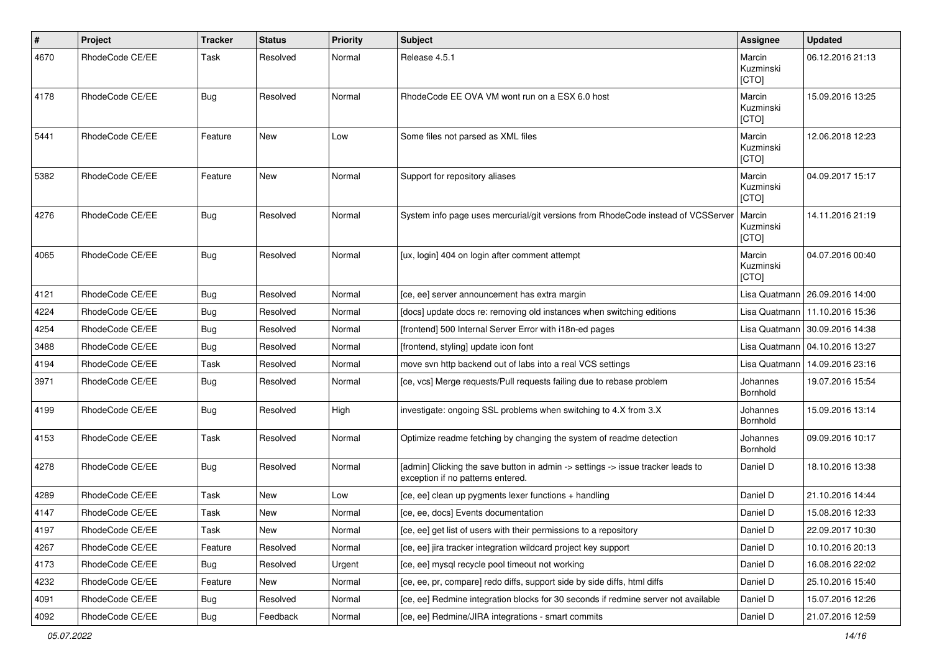| $\sharp$ | Project         | <b>Tracker</b> | <b>Status</b> | <b>Priority</b> | <b>Subject</b>                                                                                                       | <b>Assignee</b>              | <b>Updated</b>                   |
|----------|-----------------|----------------|---------------|-----------------|----------------------------------------------------------------------------------------------------------------------|------------------------------|----------------------------------|
| 4670     | RhodeCode CE/EE | Task           | Resolved      | Normal          | Release 4.5.1                                                                                                        | Marcin<br>Kuzminski<br>[CTO] | 06.12.2016 21:13                 |
| 4178     | RhodeCode CE/EE | Bug            | Resolved      | Normal          | RhodeCode EE OVA VM wont run on a ESX 6.0 host                                                                       | Marcin<br>Kuzminski<br>[CTO] | 15.09.2016 13:25                 |
| 5441     | RhodeCode CE/EE | Feature        | New           | Low             | Some files not parsed as XML files                                                                                   | Marcin<br>Kuzminski<br>[CTO] | 12.06.2018 12:23                 |
| 5382     | RhodeCode CE/EE | Feature        | New           | Normal          | Support for repository aliases                                                                                       | Marcin<br>Kuzminski<br>[CTO] | 04.09.2017 15:17                 |
| 4276     | RhodeCode CE/EE | <b>Bug</b>     | Resolved      | Normal          | System info page uses mercurial/git versions from RhodeCode instead of VCSServer                                     | Marcin<br>Kuzminski<br>[CTO] | 14.11.2016 21:19                 |
| 4065     | RhodeCode CE/EE | Bug            | Resolved      | Normal          | [ux, login] 404 on login after comment attempt                                                                       | Marcin<br>Kuzminski<br>[CTO] | 04.07.2016 00:40                 |
| 4121     | RhodeCode CE/EE | Bug            | Resolved      | Normal          | [ce, ee] server announcement has extra margin                                                                        |                              | Lisa Quatmann   26.09.2016 14:00 |
| 4224     | RhodeCode CE/EE | Bug            | Resolved      | Normal          | [docs] update docs re: removing old instances when switching editions                                                |                              | Lisa Quatmann   11.10.2016 15:36 |
| 4254     | RhodeCode CE/EE | Bug            | Resolved      | Normal          | [frontend] 500 Internal Server Error with i18n-ed pages                                                              |                              | Lisa Quatmann   30.09.2016 14:38 |
| 3488     | RhodeCode CE/EE | Bug            | Resolved      | Normal          | [frontend, styling] update icon font                                                                                 |                              | Lisa Quatmann   04.10.2016 13:27 |
| 4194     | RhodeCode CE/EE | Task           | Resolved      | Normal          | move svn http backend out of labs into a real VCS settings                                                           | Lisa Quatmann                | 14.09.2016 23:16                 |
| 3971     | RhodeCode CE/EE | Bug            | Resolved      | Normal          | [ce, vcs] Merge requests/Pull requests failing due to rebase problem                                                 | Johannes<br>Bornhold         | 19.07.2016 15:54                 |
| 4199     | RhodeCode CE/EE | Bug            | Resolved      | High            | investigate: ongoing SSL problems when switching to 4.X from 3.X                                                     | Johannes<br>Bornhold         | 15.09.2016 13:14                 |
| 4153     | RhodeCode CE/EE | Task           | Resolved      | Normal          | Optimize readme fetching by changing the system of readme detection                                                  | Johannes<br>Bornhold         | 09.09.2016 10:17                 |
| 4278     | RhodeCode CE/EE | Bug            | Resolved      | Normal          | [admin] Clicking the save button in admin -> settings -> issue tracker leads to<br>exception if no patterns entered. | Daniel D                     | 18.10.2016 13:38                 |
| 4289     | RhodeCode CE/EE | Task           | New           | Low             | [ce, ee] clean up pygments lexer functions + handling                                                                | Daniel D                     | 21.10.2016 14:44                 |
| 4147     | RhodeCode CE/EE | Task           | New           | Normal          | [ce, ee, docs] Events documentation                                                                                  | Daniel D                     | 15.08.2016 12:33                 |
| 4197     | RhodeCode CE/EE | Task           | New           | Normal          | [ce, ee] get list of users with their permissions to a repository                                                    | Daniel D                     | 22.09.2017 10:30                 |
| 4267     | RhodeCode CE/EE | Feature        | Resolved      | Normal          | [ce, ee] jira tracker integration wildcard project key support                                                       | Daniel D                     | 10.10.2016 20:13                 |
| 4173     | RhodeCode CE/EE | <b>Bug</b>     | Resolved      | Urgent          | [ce, ee] mysql recycle pool timeout not working                                                                      | Daniel D                     | 16.08.2016 22:02                 |
| 4232     | RhodeCode CE/EE | Feature        | New           | Normal          | [ce, ee, pr, compare] redo diffs, support side by side diffs, html diffs                                             | Daniel D                     | 25.10.2016 15:40                 |
| 4091     | RhodeCode CE/EE | <b>Bug</b>     | Resolved      | Normal          | [ce, ee] Redmine integration blocks for 30 seconds if redmine server not available                                   | Daniel D                     | 15.07.2016 12:26                 |
| 4092     | RhodeCode CE/EE | Bug            | Feedback      | Normal          | [ce, ee] Redmine/JIRA integrations - smart commits                                                                   | Daniel D                     | 21.07.2016 12:59                 |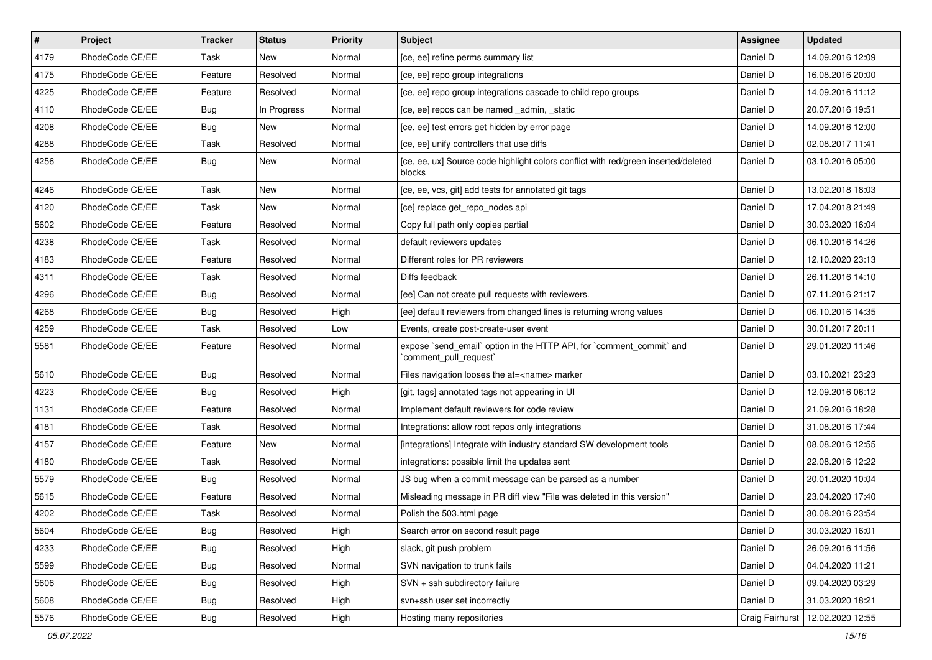| $\vert$ # | Project         | <b>Tracker</b> | <b>Status</b> | <b>Priority</b> | <b>Subject</b>                                                                                 | Assignee        | <b>Updated</b>   |
|-----------|-----------------|----------------|---------------|-----------------|------------------------------------------------------------------------------------------------|-----------------|------------------|
| 4179      | RhodeCode CE/EE | Task           | New           | Normal          | [ce, ee] refine perms summary list                                                             | Daniel D        | 14.09.2016 12:09 |
| 4175      | RhodeCode CE/EE | Feature        | Resolved      | Normal          | [ce, ee] repo group integrations                                                               | Daniel D        | 16.08.2016 20:00 |
| 4225      | RhodeCode CE/EE | Feature        | Resolved      | Normal          | [ce, ee] repo group integrations cascade to child repo groups                                  | Daniel D        | 14.09.2016 11:12 |
| 4110      | RhodeCode CE/EE | Bug            | In Progress   | Normal          | [ce, ee] repos can be named _admin, _static                                                    | Daniel D        | 20.07.2016 19:51 |
| 4208      | RhodeCode CE/EE | Bug            | <b>New</b>    | Normal          | [ce, ee] test errors get hidden by error page                                                  | Daniel D        | 14.09.2016 12:00 |
| 4288      | RhodeCode CE/EE | Task           | Resolved      | Normal          | [ce, ee] unify controllers that use diffs                                                      | Daniel D        | 02.08.2017 11:41 |
| 4256      | RhodeCode CE/EE | Bug            | New           | Normal          | [ce, ee, ux] Source code highlight colors conflict with red/green inserted/deleted<br>blocks   | Daniel D        | 03.10.2016 05:00 |
| 4246      | RhodeCode CE/EE | Task           | <b>New</b>    | Normal          | [ce, ee, vcs, git] add tests for annotated git tags                                            | Daniel D        | 13.02.2018 18:03 |
| 4120      | RhodeCode CE/EE | Task           | New           | Normal          | [ce] replace get_repo_nodes api                                                                | Daniel D        | 17.04.2018 21:49 |
| 5602      | RhodeCode CE/EE | Feature        | Resolved      | Normal          | Copy full path only copies partial                                                             | Daniel D        | 30.03.2020 16:04 |
| 4238      | RhodeCode CE/EE | Task           | Resolved      | Normal          | default reviewers updates                                                                      | Daniel D        | 06.10.2016 14:26 |
| 4183      | RhodeCode CE/EE | Feature        | Resolved      | Normal          | Different roles for PR reviewers                                                               | Daniel D        | 12.10.2020 23:13 |
| 4311      | RhodeCode CE/EE | Task           | Resolved      | Normal          | Diffs feedback                                                                                 | Daniel D        | 26.11.2016 14:10 |
| 4296      | RhodeCode CE/EE | Bug            | Resolved      | Normal          | [ee] Can not create pull requests with reviewers.                                              | Daniel D        | 07.11.2016 21:17 |
| 4268      | RhodeCode CE/EE | Bug            | Resolved      | High            | [ee] default reviewers from changed lines is returning wrong values                            | Daniel D        | 06.10.2016 14:35 |
| 4259      | RhodeCode CE/EE | Task           | Resolved      | Low             | Events, create post-create-user event                                                          | Daniel D        | 30.01.2017 20:11 |
| 5581      | RhodeCode CE/EE | Feature        | Resolved      | Normal          | expose `send email` option in the HTTP API, for `comment commit` and<br>`comment_pull_request` | Daniel D        | 29.01.2020 11:46 |
| 5610      | RhodeCode CE/EE | Bug            | Resolved      | Normal          | Files navigation looses the at= <name> marker</name>                                           | Daniel D        | 03.10.2021 23:23 |
| 4223      | RhodeCode CE/EE | Bug            | Resolved      | High            | [git, tags] annotated tags not appearing in UI                                                 | Daniel D        | 12.09.2016 06:12 |
| 1131      | RhodeCode CE/EE | Feature        | Resolved      | Normal          | Implement default reviewers for code review                                                    | Daniel D        | 21.09.2016 18:28 |
| 4181      | RhodeCode CE/EE | Task           | Resolved      | Normal          | Integrations: allow root repos only integrations                                               | Daniel D        | 31.08.2016 17:44 |
| 4157      | RhodeCode CE/EE | Feature        | <b>New</b>    | Normal          | [integrations] Integrate with industry standard SW development tools                           | Daniel D        | 08.08.2016 12:55 |
| 4180      | RhodeCode CE/EE | Task           | Resolved      | Normal          | integrations: possible limit the updates sent                                                  | Daniel D        | 22.08.2016 12:22 |
| 5579      | RhodeCode CE/EE | Bug            | Resolved      | Normal          | JS bug when a commit message can be parsed as a number                                         | Daniel D        | 20.01.2020 10:04 |
| 5615      | RhodeCode CE/EE | Feature        | Resolved      | Normal          | Misleading message in PR diff view "File was deleted in this version"                          | Daniel D        | 23.04.2020 17:40 |
| 4202      | RhodeCode CE/EE | Task           | Resolved      | Normal          | Polish the 503.html page                                                                       | Daniel D        | 30.08.2016 23:54 |
| 5604      | RhodeCode CE/EE | Bug            | Resolved      | High            | Search error on second result page                                                             | Daniel D        | 30.03.2020 16:01 |
| 4233      | RhodeCode CE/EE | Bug            | Resolved      | High            | slack, git push problem                                                                        | Daniel D        | 26.09.2016 11:56 |
| 5599      | RhodeCode CE/EE | <b>Bug</b>     | Resolved      | Normal          | SVN navigation to trunk fails                                                                  | Daniel D        | 04.04.2020 11:21 |
| 5606      | RhodeCode CE/EE | <b>Bug</b>     | Resolved      | High            | SVN + ssh subdirectory failure                                                                 | Daniel D        | 09.04.2020 03:29 |
| 5608      | RhodeCode CE/EE | <b>Bug</b>     | Resolved      | High            | svn+ssh user set incorrectly                                                                   | Daniel D        | 31.03.2020 18:21 |
| 5576      | RhodeCode CE/EE | <b>Bug</b>     | Resolved      | High            | Hosting many repositories                                                                      | Craig Fairhurst | 12.02.2020 12:55 |